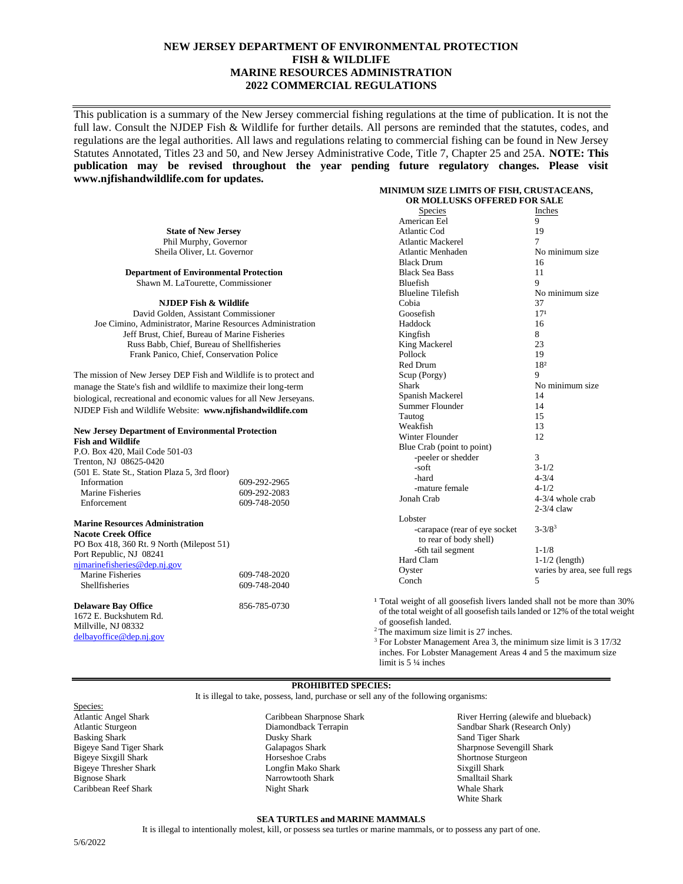## **NEW JERSEY DEPARTMENT OF ENVIRONMENTAL PROTECTION FISH & WILDLIFE MARINE RESOURCES ADMINISTRATION 2022 COMMERCIAL REGULATIONS**

This publication is a summary of the New Jersey commercial fishing regulations at the time of publication. It is not the full law. Consult the NJDEP Fish & Wildlife for further details. All persons are reminded that the statutes, codes, and regulations are the legal authorities. All laws and regulations relating to commercial fishing can be found in New Jersey Statutes Annotated, Titles 23 and 50, and New Jersey Administrative Code, Title 7, Chapter 25 and 25A. **NOTE: This publication may be revised throughout the year pending future regulatory changes. Please visit www.njfishandwildlife.com for updates. MINIMUM SIZE LIMITS OF FISH, CRUSTACEANS,**

#### **OR MOLLUSKS OFFERED FOR SALE State of New Jersey** Phil Murphy, Governor Sheila Oliver, Lt. Governor **Department of Environmental Protection** Shawn M. LaTourette, Commissioner **NJDEP Fish & Wildlife** David Golden, Assistant Commissioner Joe Cimino, Administrator, Marine Resources Administration Jeff Brust, Chief, Bureau of Marine Fisheries Russ Babb, Chief, Bureau of Shellfisheries Frank Panico, Chief, Conservation Police The mission of New Jersey DEP Fish and Wildlife is to protect and manage the State's fish and wildlife to maximize their long-term biological, recreational and economic values for all New Jerseyans. NJDEP Fish and Wildlife Website: **www.njfishandwildlife.com New Jersey Department of Environmental Protection Fish and Wildlife** P.O. Box 420, Mail Code 501-03 Trenton, NJ 08625-0420 (501 E. State St., Station Plaza 5, 3rd floor) Information 609-292-2965<br>Marine Fisheries 609-292-2083 Marine Fisheries Enforcement 609-748-2050 **Marine Resources Administration Nacote Creek Office** PO Box 418, 360 Rt. 9 North (Milepost 51) Port Republic, NJ 08241 [njmarinefisheries@dep.nj.gov](mailto:njmarinefisheries@dep.nj.gov) Marine Fisheries 609-748-2020 Shellfisheries 609-748-2040 **Delaware Bay Office** 856-785-0730 1672 E. Buckshutem Rd. Species Inches American Eel 9 Atlantic Cod 19<br>Atlantic Mackerel 7 Atlantic Mackerel Atlantic Menhaden No minimum size Black Drum 16 Black Sea Bass 11 Bluefish 9 Blueline Tilefish No minimum size Cobia 37<br>Goosefish 17<sup>1</sup> Goosefish 17<sup>1</sup><br>Haddock 16 Haddock Kingfish 8 King Mackerel 23<br>Pollock 19 Pollock Red Drum 18<sup>2</sup> Scup (Porgy) 9 Shark No minimum size<br>
Spanish Mackerel 14 Spanish Mackerel Summer Flounder 14 Tautog 15 Weakfish 13<br>Winter Flounder 12 Winter Flounder Blue Crab (point to point) -peeler or shedder 3  $-$ soft  $3-1/2$ <br> $-$ hard  $4-3/4$  $4 - 3/4$ -mature female 4-1/2 Jonah Crab 4-3/4 whole crab 2-3/4 claw Lobster -carapace (rear of eye socket 3-3/8<sup>3</sup> to rear of body shell) -6th tail segment 1-1/8 Hard Clam 1-1/2 (length) Oyster varies by area, see full regs Conch 5 <sup>1</sup> Total weight of all goosefish livers landed shall not be more than 30% of the total weight of all goosefish tails landed or 12% of the total weight of goosefish landed.

Millville, NJ 08332 [delbayoffice@dep.nj.gov](mailto:delbayoffice@dep.nj.gov)

<sup>2</sup>The maximum size limit is 27 inches.

<sup>3</sup> For Lobster Management Area 3, the minimum size limit is 3 17/32 inches. For Lobster Management Areas 4 and 5 the maximum size limit is 5 ¼ inches

#### **PROHIBITED SPECIES:**

It is illegal to take, possess, land, purchase or sell any of the following organisms:

Species: Atlantic Angel Shark Atlantic Sturgeon Basking Shark Bigeye Sand Tiger Shark Bigeye Sixgill Shark Bigeye Thresher Shark Bignose Shark Caribbean Reef Shark

Caribbean Sharpnose Shark Diamondback Terrapin Dusky Shark Galapagos Shark Horseshoe Crabs Longfin Mako Shark Narrowtooth Shark Night Shark

River Herring (alewife and blueback) Sandbar Shark (Research Only) Sand Tiger Shark Sharpnose Sevengill Shark Shortnose Sturgeon Sixgill Shark Smalltail Shark Whale Shark White Shark

#### **SEA TURTLES and MARINE MAMMALS**

It is illegal to intentionally molest, kill, or possess sea turtles or marine mammals, or to possess any part of one.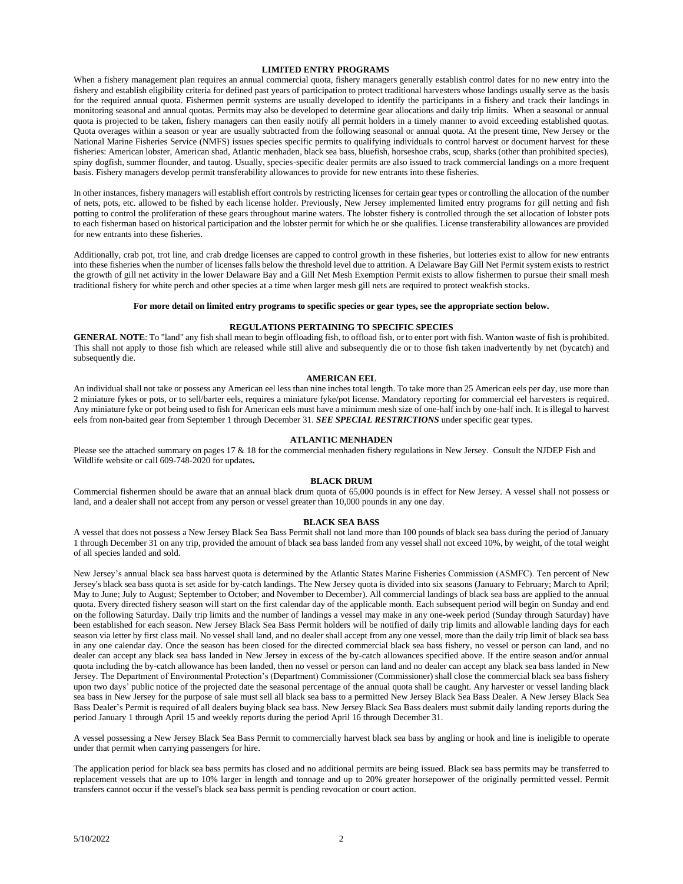#### **LIMITED ENTRY PROGRAMS**

When a fishery management plan requires an annual commercial quota, fishery managers generally establish control dates for no new entry into the fishery and establish eligibility criteria for defined past years of participation to protect traditional harvesters whose landings usually serve as the basis for the required annual quota. Fishermen permit systems are usually developed to identify the participants in a fishery and track their landings in monitoring seasonal and annual quotas. Permits may also be developed to determine gear allocations and daily trip limits. When a seasonal or annual quota is projected to be taken, fishery managers can then easily notify all permit holders in a timely manner to avoid exceeding established quotas. Quota overages within a season or year are usually subtracted from the following seasonal or annual quota. At the present time, New Jersey or the National Marine Fisheries Service (NMFS) issues species specific permits to qualifying individuals to control harvest or document harvest for these fisheries: American lobster, American shad, Atlantic menhaden, black sea bass, bluefish, horseshoe crabs, scup, sharks (other than prohibited species), spiny dogfish, summer flounder, and tautog. Usually, species-specific dealer permits are also issued to track commercial landings on a more frequent basis. Fishery managers develop permit transferability allowances to provide for new entrants into these fisheries.

In other instances, fishery managers will establish effort controls by restricting licenses for certain gear types or controlling the allocation of the number of nets, pots, etc. allowed to be fished by each license holder. Previously, New Jersey implemented limited entry programs for gill netting and fish potting to control the proliferation of these gears throughout marine waters. The lobster fishery is controlled through the set allocation of lobster pots to each fisherman based on historical participation and the lobster permit for which he or she qualifies. License transferability allowances are provided for new entrants into these fisheries.

Additionally, crab pot, trot line, and crab dredge licenses are capped to control growth in these fisheries, but lotteries exist to allow for new entrants into these fisheries when the number of licenses falls below the threshold level due to attrition. A Delaware Bay Gill Net Permit system exists to restrict the growth of gill net activity in the lower Delaware Bay and a Gill Net Mesh Exemption Permit exists to allow fishermen to pursue their small mesh traditional fishery for white perch and other species at a time when larger mesh gill nets are required to protect weakfish stocks.

#### **For more detail on limited entry programs to specific species or gear types, see the appropriate section below.**

#### **REGULATIONS PERTAINING TO SPECIFIC SPECIES**

**GENERAL NOTE**: To "land" any fish shall mean to begin offloading fish, to offload fish, or to enter port with fish. Wanton waste of fish is prohibited. This shall not apply to those fish which are released while still alive and subsequently die or to those fish taken inadvertently by net (bycatch) and subsequently die.

### **AMERICAN EEL**

An individual shall not take or possess any American eel less than nine inches total length. To take more than 25 American eels per day, use more than 2 miniature fykes or pots, or to sell/barter eels, requires a miniature fyke/pot license. Mandatory reporting for commercial eel harvesters is required. Any miniature fyke or pot being used to fish for American eels must have a minimum mesh size of one-half inch by one-half inch. It is illegal to harvest eels from non-baited gear from September 1 through December 31. *SEE SPECIAL RESTRICTIONS* under specific gear types.

### **ATLANTIC MENHADEN**

Please see the attached summary on pages 17 & 18 for the commercial menhaden fishery regulations in New Jersey. Consult the NJDEP Fish and Wildlife website or call 609-748-2020 for updates**.**

#### **BLACK DRUM**

Commercial fishermen should be aware that an annual black drum quota of 65,000 pounds is in effect for New Jersey. A vessel shall not possess or land, and a dealer shall not accept from any person or vessel greater than 10,000 pounds in any one day.

#### **BLACK SEA BASS**

A vessel that does not possess a New Jersey Black Sea Bass Permit shall not land more than 100 pounds of black sea bass during the period of January 1 through December 31 on any trip, provided the amount of black sea bass landed from any vessel shall not exceed 10%, by weight, of the total weight of all species landed and sold.

New Jersey's annual black sea bass harvest quota is determined by the Atlantic States Marine Fisheries Commission (ASMFC). Ten percent of New Jersey's black sea bass quota is set aside for by-catch landings. The New Jersey quota is divided into six seasons (January to February; March to April; May to June; July to August; September to October; and November to December). All commercial landings of black sea bass are applied to the annual quota. Every directed fishery season will start on the first calendar day of the applicable month. Each subsequent period will begin on Sunday and end on the following Saturday. Daily trip limits and the number of landings a vessel may make in any one-week period (Sunday through Saturday) have been established for each season. New Jersey Black Sea Bass Permit holders will be notified of daily trip limits and allowable landing days for each season via letter by first class mail. No vessel shall land, and no dealer shall accept from any one vessel, more than the daily trip limit of black sea bass in any one calendar day. Once the season has been closed for the directed commercial black sea bass fishery, no vessel or person can land, and no dealer can accept any black sea bass landed in New Jersey in excess of the by-catch allowances specified above. If the entire season and/or annual quota including the by-catch allowance has been landed, then no vessel or person can land and no dealer can accept any black sea bass landed in New Jersey. The Department of Environmental Protection's (Department) Commissioner (Commissioner) shall close the commercial black sea bass fishery upon two days' public notice of the projected date the seasonal percentage of the annual quota shall be caught. Any harvester or vessel landing black sea bass in New Jersey for the purpose of sale must sell all black sea bass to a permitted New Jersey Black Sea Bass Dealer. A New Jersey Black Sea Bass Dealer's Permit is required of all dealers buying black sea bass. New Jersey Black Sea Bass dealers must submit daily landing reports during the period January 1 through April 15 and weekly reports during the period April 16 through December 31.

A vessel possessing a New Jersey Black Sea Bass Permit to commercially harvest black sea bass by angling or hook and line is ineligible to operate under that permit when carrying passengers for hire.

The application period for black sea bass permits has closed and no additional permits are being issued. Black sea bass permits may be transferred to replacement vessels that are up to 10% larger in length and tonnage and up to 20% greater horsepower of the originally permitted vessel. Permit transfers cannot occur if the vessel's black sea bass permit is pending revocation or court action.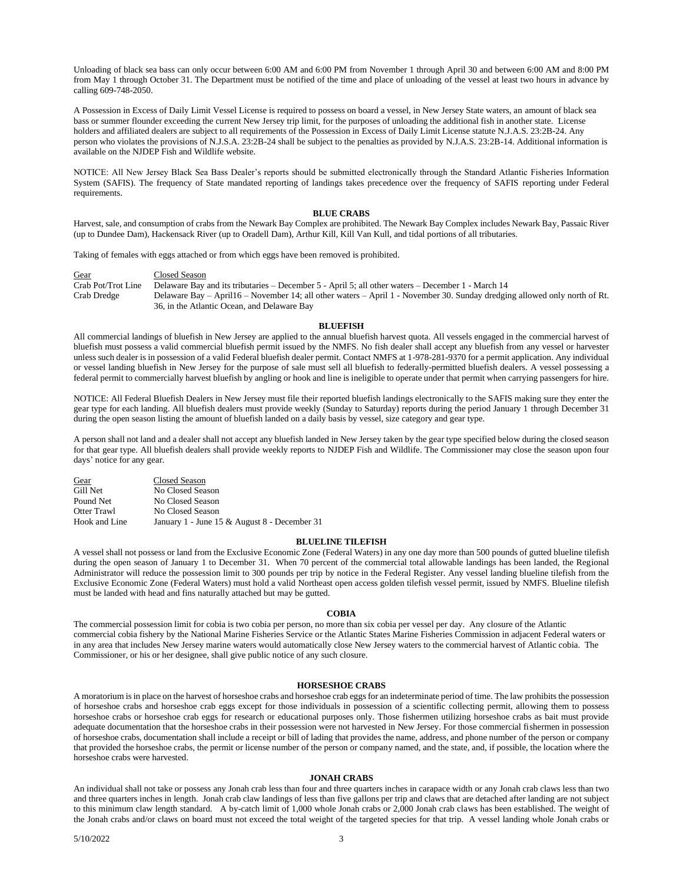Unloading of black sea bass can only occur between 6:00 AM and 6:00 PM from November 1 through April 30 and between 6:00 AM and 8:00 PM from May 1 through October 31. The Department must be notified of the time and place of unloading of the vessel at least two hours in advance by calling 609-748-2050.

A Possession in Excess of Daily Limit Vessel License is required to possess on board a vessel, in New Jersey State waters, an amount of black sea bass or summer flounder exceeding the current New Jersey trip limit, for the purposes of unloading the additional fish in another state. License holders and affiliated dealers are subject to all requirements of the Possession in Excess of Daily Limit License statute N.J.A.S. 23:2B-24. Any person who violates the provisions of N.J.S.A. 23:2B-24 shall be subject to the penalties as provided by N.J.A.S. 23:2B-14. Additional information is available on the NJDEP Fish and Wildlife website.

NOTICE: All New Jersey Black Sea Bass Dealer's reports should be submitted electronically through the Standard Atlantic Fisheries Information System (SAFIS). The frequency of State mandated reporting of landings takes precedence over the frequency of SAFIS reporting under Federal requirements.

#### **BLUE CRABS**

Harvest, sale, and consumption of crabs from the Newark Bay Complex are prohibited. The Newark Bay Complex includes Newark Bay, Passaic River (up to Dundee Dam), Hackensack River (up to Oradell Dam), Arthur Kill, Kill Van Kull, and tidal portions of all tributaries.

Taking of females with eggs attached or from which eggs have been removed is prohibited.

Gear<br>Crab Pot/Trot Line Delaware Bay Delaware Bay and its tributaries – December 5 - April 5; all other waters – December 1 - March 14 Crab Dredge Delaware Bay – April16 – November 14; all other waters – April 1 - November 30. Sunday dredging allowed only north of Rt. 36, in the Atlantic Ocean, and Delaware Bay

#### **BLUEFISH**

All commercial landings of bluefish in New Jersey are applied to the annual bluefish harvest quota. All vessels engaged in the commercial harvest of bluefish must possess a valid commercial bluefish permit issued by the NMFS. No fish dealer shall accept any bluefish from any vessel or harvester unless such dealer is in possession of a valid Federal bluefish dealer permit. Contact NMFS at 1-978-281-9370 for a permit application. Any individual or vessel landing bluefish in New Jersey for the purpose of sale must sell all bluefish to federally-permitted bluefish dealers. A vessel possessing a federal permit to commercially harvest bluefish by angling or hook and line is ineligible to operate under that permit when carrying passengers for hire.

NOTICE: All Federal Bluefish Dealers in New Jersey must file their reported bluefish landings electronically to the SAFIS making sure they enter the gear type for each landing. All bluefish dealers must provide weekly (Sunday to Saturday) reports during the period January 1 through December 31 during the open season listing the amount of bluefish landed on a daily basis by vessel, size category and gear type.

A person shall not land and a dealer shall not accept any bluefish landed in New Jersey taken by the gear type specified below during the closed season for that gear type. All bluefish dealers shall provide weekly reports to NJDEP Fish and Wildlife. The Commissioner may close the season upon four days' notice for any gear.

| Gear          | Closed Season                                |
|---------------|----------------------------------------------|
| Gill Net      | No Closed Season                             |
| Pound Net     | No Closed Season                             |
| Otter Trawl   | No Closed Season                             |
| Hook and Line | January 1 - June 15 & August 8 - December 31 |

#### **BLUELINE TILEFISH**

A vessel shall not possess or land from the Exclusive Economic Zone (Federal Waters) in any one day more than 500 pounds of gutted blueline tilefish during the open season of January 1 to December 31. When 70 percent of the commercial total allowable landings has been landed, the Regional Administrator will reduce the possession limit to 300 pounds per trip by notice in the Federal Register. Any vessel landing blueline tilefish from the Exclusive Economic Zone (Federal Waters) must hold a valid Northeast open access golden tilefish vessel permit, issued by NMFS. Blueline tilefish must be landed with head and fins naturally attached but may be gutted.

#### **COBIA**

The commercial possession limit for cobia is two cobia per person, no more than six cobia per vessel per day. Any closure of the Atlantic commercial cobia fishery by the National Marine Fisheries Service or the Atlantic States Marine Fisheries Commission in adjacent Federal waters or in any area that includes New Jersey marine waters would automatically close New Jersey waters to the commercial harvest of Atlantic cobia. The Commissioner, or his or her designee, shall give public notice of any such closure.

#### **HORSESHOE CRABS**

A moratorium is in place on the harvest of horseshoe crabs and horseshoe crab eggs for an indeterminate period of time. The law prohibits the possession of horseshoe crabs and horseshoe crab eggs except for those individuals in possession of a scientific collecting permit, allowing them to possess horseshoe crabs or horseshoe crab eggs for research or educational purposes only. Those fishermen utilizing horseshoe crabs as bait must provide adequate documentation that the horseshoe crabs in their possession were not harvested in New Jersey. For those commercial fishermen in possession of horseshoe crabs, documentation shall include a receipt or bill of lading that provides the name, address, and phone number of the person or company that provided the horseshoe crabs, the permit or license number of the person or company named, and the state, and, if possible, the location where the horseshoe crabs were harvested.

#### **JONAH CRABS**

An individual shall not take or possess any Jonah crab less than four and three quarters inches in carapace width or any Jonah crab claws less than two and three quarters inches in length. Jonah crab claw landings of less than five gallons per trip and claws that are detached after landing are not subject to this minimum claw length standard. A by-catch limit of 1,000 whole Jonah crabs or 2,000 Jonah crab claws has been established. The weight of the Jonah crabs and/or claws on board must not exceed the total weight of the targeted species for that trip. A vessel landing whole Jonah crabs or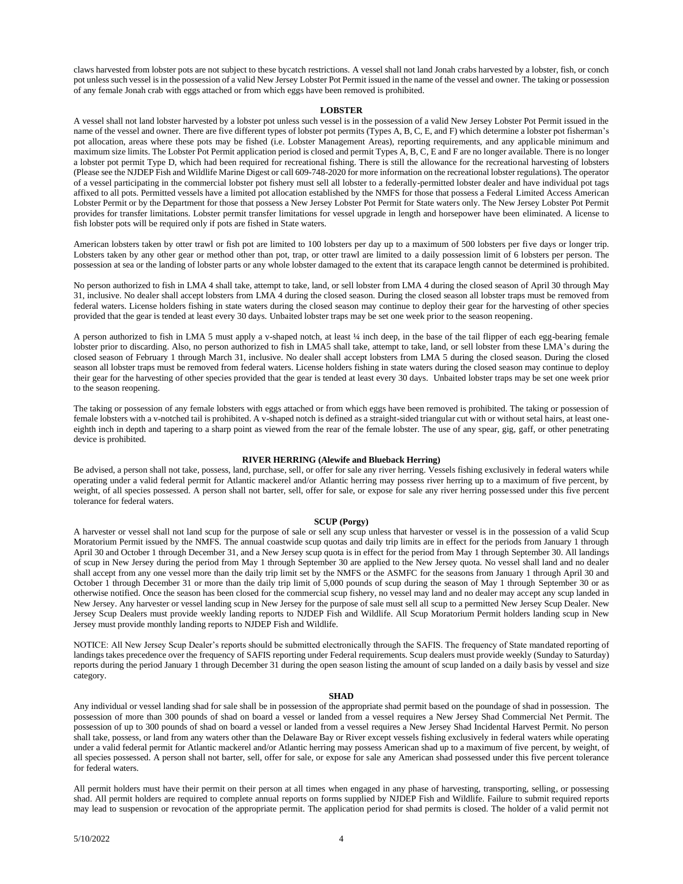claws harvested from lobster pots are not subject to these bycatch restrictions. A vessel shall not land Jonah crabs harvested by a lobster, fish, or conch pot unless such vessel is in the possession of a valid New Jersey Lobster Pot Permit issued in the name of the vessel and owner. The taking or possession of any female Jonah crab with eggs attached or from which eggs have been removed is prohibited.

#### **LOBSTER**

A vessel shall not land lobster harvested by a lobster pot unless such vessel is in the possession of a valid New Jersey Lobster Pot Permit issued in the name of the vessel and owner. There are five different types of lobster pot permits (Types A, B, C, E, and F) which determine a lobster pot fisherman's pot allocation, areas where these pots may be fished (i.e. Lobster Management Areas), reporting requirements, and any applicable minimum and maximum size limits. The Lobster Pot Permit application period is closed and permit Types A, B, C, E and F are no longer available. There is no longer a lobster pot permit Type D, which had been required for recreational fishing. There is still the allowance for the recreational harvesting of lobsters (Please see the NJDEP Fish and Wildlife Marine Digest or call 609-748-2020 for more information on the recreational lobster regulations). The operator of a vessel participating in the commercial lobster pot fishery must sell all lobster to a federally-permitted lobster dealer and have individual pot tags affixed to all pots. Permitted vessels have a limited pot allocation established by the NMFS for those that possess a Federal Limited Access American Lobster Permit or by the Department for those that possess a New Jersey Lobster Pot Permit for State waters only. The New Jersey Lobster Pot Permit provides for transfer limitations. Lobster permit transfer limitations for vessel upgrade in length and horsepower have been eliminated. A license to fish lobster pots will be required only if pots are fished in State waters.

American lobsters taken by otter trawl or fish pot are limited to 100 lobsters per day up to a maximum of 500 lobsters per five days or longer trip. Lobsters taken by any other gear or method other than pot, trap, or otter trawl are limited to a daily possession limit of 6 lobsters per person. The possession at sea or the landing of lobster parts or any whole lobster damaged to the extent that its carapace length cannot be determined is prohibited.

No person authorized to fish in LMA 4 shall take, attempt to take, land, or sell lobster from LMA 4 during the closed season of April 30 through May 31, inclusive. No dealer shall accept lobsters from LMA 4 during the closed season. During the closed season all lobster traps must be removed from federal waters. License holders fishing in state waters during the closed season may continue to deploy their gear for the harvesting of other species provided that the gear is tended at least every 30 days. Unbaited lobster traps may be set one week prior to the season reopening.

A person authorized to fish in LMA 5 must apply a v-shaped notch, at least 1/4 inch deep, in the base of the tail flipper of each egg-bearing female lobster prior to discarding. Also, no person authorized to fish in LMA5 shall take, attempt to take, land, or sell lobster from these LMA's during the closed season of February 1 through March 31, inclusive. No dealer shall accept lobsters from LMA 5 during the closed season. During the closed season all lobster traps must be removed from federal waters. License holders fishing in state waters during the closed season may continue to deploy their gear for the harvesting of other species provided that the gear is tended at least every 30 days. Unbaited lobster traps may be set one week prior to the season reopening.

The taking or possession of any female lobsters with eggs attached or from which eggs have been removed is prohibited. The taking or possession of female lobsters with a v-notched tail is prohibited. A v-shaped notch is defined as a straight-sided triangular cut with or without setal hairs, at least oneeighth inch in depth and tapering to a sharp point as viewed from the rear of the female lobster. The use of any spear, gig, gaff, or other penetrating device is prohibited.

#### **RIVER HERRING (Alewife and Blueback Herring)**

Be advised, a person shall not take, possess, land, purchase, sell, or offer for sale any river herring. Vessels fishing exclusively in federal waters while operating under a valid federal permit for Atlantic mackerel and/or Atlantic herring may possess river herring up to a maximum of five percent, by weight, of all species possessed. A person shall not barter, sell, offer for sale, or expose for sale any river herring possessed under this five percent tolerance for federal waters.

#### **SCUP (Porgy)**

A harvester or vessel shall not land scup for the purpose of sale or sell any scup unless that harvester or vessel is in the possession of a valid Scup Moratorium Permit issued by the NMFS. The annual coastwide scup quotas and daily trip limits are in effect for the periods from January 1 through April 30 and October 1 through December 31, and a New Jersey scup quota is in effect for the period from May 1 through September 30. All landings of scup in New Jersey during the period from May 1 through September 30 are applied to the New Jersey quota. No vessel shall land and no dealer shall accept from any one vessel more than the daily trip limit set by the NMFS or the ASMFC for the seasons from January 1 through April 30 and October 1 through December 31 or more than the daily trip limit of 5,000 pounds of scup during the season of May 1 through September 30 or as otherwise notified. Once the season has been closed for the commercial scup fishery, no vessel may land and no dealer may accept any scup landed in New Jersey. Any harvester or vessel landing scup in New Jersey for the purpose of sale must sell all scup to a permitted New Jersey Scup Dealer. New Jersey Scup Dealers must provide weekly landing reports to NJDEP Fish and Wildlife. All Scup Moratorium Permit holders landing scup in New Jersey must provide monthly landing reports to NJDEP Fish and Wildlife.

NOTICE: All New Jersey Scup Dealer's reports should be submitted electronically through the SAFIS. The frequency of State mandated reporting of landings takes precedence over the frequency of SAFIS reporting under Federal requirements. Scup dealers must provide weekly (Sunday to Saturday) reports during the period January 1 through December 31 during the open season listing the amount of scup landed on a daily basis by vessel and size category.

#### **SHAD**

Any individual or vessel landing shad for sale shall be in possession of the appropriate shad permit based on the poundage of shad in possession. The possession of more than 300 pounds of shad on board a vessel or landed from a vessel requires a New Jersey Shad Commercial Net Permit. The possession of up to 300 pounds of shad on board a vessel or landed from a vessel requires a New Jersey Shad Incidental Harvest Permit. No person shall take, possess, or land from any waters other than the Delaware Bay or River except vessels fishing exclusively in federal waters while operating under a valid federal permit for Atlantic mackerel and/or Atlantic herring may possess American shad up to a maximum of five percent, by weight, of all species possessed. A person shall not barter, sell, offer for sale, or expose for sale any American shad possessed under this five percent tolerance for federal waters.

All permit holders must have their permit on their person at all times when engaged in any phase of harvesting, transporting, selling, or possessing shad. All permit holders are required to complete annual reports on forms supplied by NJDEP Fish and Wildlife. Failure to submit required reports may lead to suspension or revocation of the appropriate permit. The application period for shad permits is closed. The holder of a valid permit not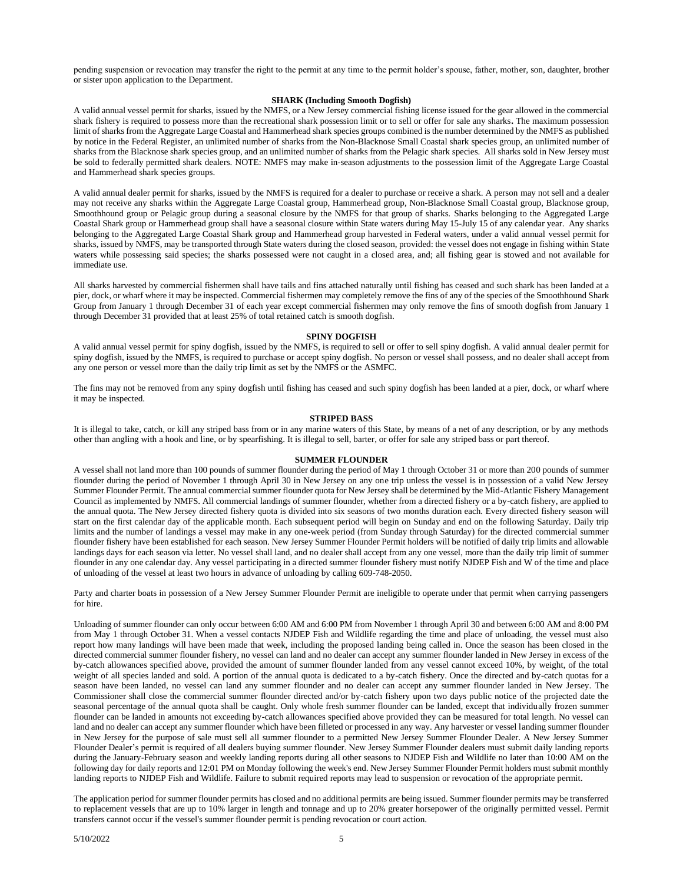pending suspension or revocation may transfer the right to the permit at any time to the permit holder's spouse, father, mother, son, daughter, brother or sister upon application to the Department.

#### **SHARK (Including Smooth Dogfish)**

A valid annual vessel permit for sharks, issued by the NMFS, or a New Jersey commercial fishing license issued for the gear allowed in the commercial shark fishery is required to possess more than the recreational shark possession limit or to sell or offer for sale any sharks**.** The maximum possession limit ofsharks from the Aggregate Large Coastal and Hammerhead shark species groups combined is the number determined by the NMFS as published by notice in the Federal Register, an unlimited number of sharks from the Non-Blacknose Small Coastal shark species group, an unlimited number of sharks from the Blacknose shark species group, and an unlimited number of sharks from the Pelagic shark species. All sharks sold in New Jersey must be sold to federally permitted shark dealers. NOTE: NMFS may make in-season adjustments to the possession limit of the Aggregate Large Coastal and Hammerhead shark species groups.

A valid annual dealer permit for sharks, issued by the NMFS is required for a dealer to purchase or receive a shark. A person may not sell and a dealer may not receive any sharks within the Aggregate Large Coastal group, Hammerhead group, Non-Blacknose Small Coastal group, Blacknose group, Smoothhound group or Pelagic group during a seasonal closure by the NMFS for that group of sharks. Sharks belonging to the Aggregated Large Coastal Shark group or Hammerhead group shall have a seasonal closure within State waters during May 15-July 15 of any calendar year. Any sharks belonging to the Aggregated Large Coastal Shark group and Hammerhead group harvested in Federal waters, under a valid annual vessel permit for sharks, issued by NMFS, may be transported through State waters during the closed season, provided: the vessel does not engage in fishing within State waters while possessing said species; the sharks possessed were not caught in a closed area, and; all fishing gear is stowed and not available for immediate use.

All sharks harvested by commercial fishermen shall have tails and fins attached naturally until fishing has ceased and such shark has been landed at a pier, dock, or wharf where it may be inspected. Commercial fishermen may completely remove the fins of any of the species of the Smoothhound Shark Group from January 1 through December 31 of each year except commercial fishermen may only remove the fins of smooth dogfish from January 1 through December 31 provided that at least 25% of total retained catch is smooth dogfish.

#### **SPINY DOGFISH**

A valid annual vessel permit for spiny dogfish, issued by the NMFS, is required to sell or offer to sell spiny dogfish. A valid annual dealer permit for spiny dogfish, issued by the NMFS, is required to purchase or accept spiny dogfish. No person or vessel shall possess, and no dealer shall accept from any one person or vessel more than the daily trip limit as set by the NMFS or the ASMFC.

The fins may not be removed from any spiny dogfish until fishing has ceased and such spiny dogfish has been landed at a pier, dock, or wharf where it may be inspected.

#### **STRIPED BASS**

It is illegal to take, catch, or kill any striped bass from or in any marine waters of this State, by means of a net of any description, or by any methods other than angling with a hook and line, or by spearfishing. It is illegal to sell, barter, or offer for sale any striped bass or part thereof.

#### **SUMMER FLOUNDER**

A vessel shall not land more than 100 pounds of summer flounder during the period of May 1 through October 31 or more than 200 pounds of summer flounder during the period of November 1 through April 30 in New Jersey on any one trip unless the vessel is in possession of a valid New Jersey Summer Flounder Permit. The annual commercial summer flounder quota for New Jersey shall be determined by the Mid-Atlantic Fishery Management Council as implemented by NMFS. All commercial landings of summer flounder, whether from a directed fishery or a by-catch fishery, are applied to the annual quota. The New Jersey directed fishery quota is divided into six seasons of two months duration each. Every directed fishery season will start on the first calendar day of the applicable month. Each subsequent period will begin on Sunday and end on the following Saturday. Daily trip limits and the number of landings a vessel may make in any one-week period (from Sunday through Saturday) for the directed commercial summer flounder fishery have been established for each season. New Jersey Summer Flounder Permit holders will be notified of daily trip limits and allowable landings days for each season via letter. No vessel shall land, and no dealer shall accept from any one vessel, more than the daily trip limit of summer flounder in any one calendar day. Any vessel participating in a directed summer flounder fishery must notify NJDEP Fish and W of the time and place of unloading of the vessel at least two hours in advance of unloading by calling 609-748-2050.

Party and charter boats in possession of a New Jersey Summer Flounder Permit are ineligible to operate under that permit when carrying passengers for hire.

Unloading of summer flounder can only occur between 6:00 AM and 6:00 PM from November 1 through April 30 and between 6:00 AM and 8:00 PM from May 1 through October 31. When a vessel contacts NJDEP Fish and Wildlife regarding the time and place of unloading, the vessel must also report how many landings will have been made that week, including the proposed landing being called in. Once the season has been closed in the directed commercial summer flounder fishery, no vessel can land and no dealer can accept any summer flounder landed in New Jersey in excess of the by-catch allowances specified above, provided the amount of summer flounder landed from any vessel cannot exceed 10%, by weight, of the total weight of all species landed and sold. A portion of the annual quota is dedicated to a by-catch fishery. Once the directed and by-catch quotas for a season have been landed, no vessel can land any summer flounder and no dealer can accept any summer flounder landed in New Jersey. The Commissioner shall close the commercial summer flounder directed and/or by-catch fishery upon two days public notice of the projected date the seasonal percentage of the annual quota shall be caught. Only whole fresh summer flounder can be landed, except that individually frozen summer flounder can be landed in amounts not exceeding by-catch allowances specified above provided they can be measured for total length. No vessel can land and no dealer can accept any summer flounder which have been filleted or processed in any way. Any harvester or vessel landing summer flounder in New Jersey for the purpose of sale must sell all summer flounder to a permitted New Jersey Summer Flounder Dealer. A New Jersey Summer Flounder Dealer's permit is required of all dealers buying summer flounder. New Jersey Summer Flounder dealers must submit daily landing reports during the January-February season and weekly landing reports during all other seasons to NJDEP Fish and Wildlife no later than 10:00 AM on the following day for daily reports and 12:01 PM on Monday following the week's end. New Jersey Summer Flounder Permit holders must submit monthly landing reports to NJDEP Fish and Wildlife. Failure to submit required reports may lead to suspension or revocation of the appropriate permit.

The application period for summer flounder permits has closed and no additional permits are being issued. Summer flounder permits may be transferred to replacement vessels that are up to 10% larger in length and tonnage and up to 20% greater horsepower of the originally permitted vessel. Permit transfers cannot occur if the vessel's summer flounder permit is pending revocation or court action.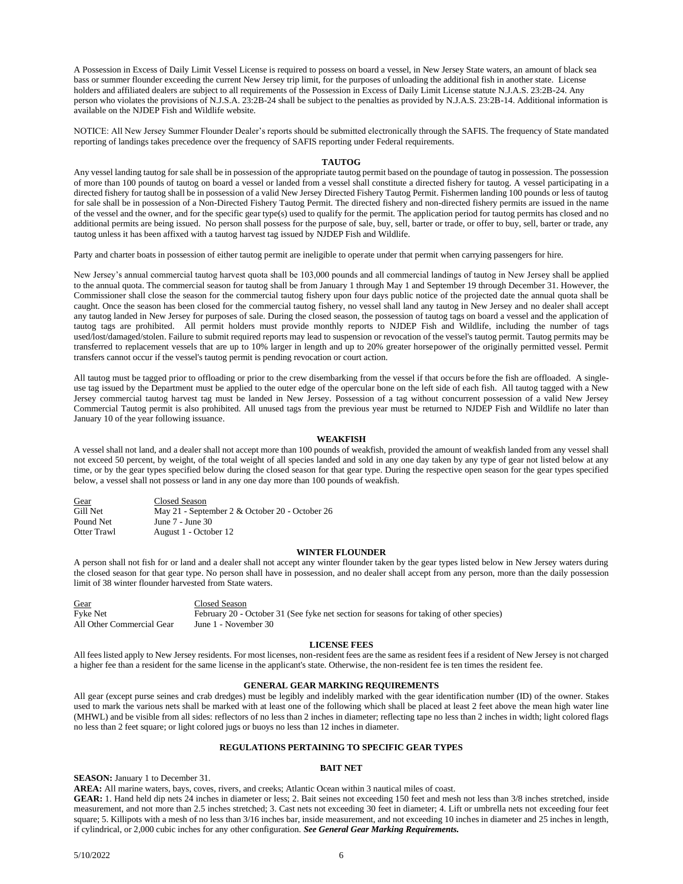A Possession in Excess of Daily Limit Vessel License is required to possess on board a vessel, in New Jersey State waters, an amount of black sea bass or summer flounder exceeding the current New Jersey trip limit, for the purposes of unloading the additional fish in another state. License holders and affiliated dealers are subject to all requirements of the Possession in Excess of Daily Limit License statute N.J.A.S. 23:2B-24. Any person who violates the provisions of N.J.S.A. 23:2B-24 shall be subject to the penalties as provided by N.J.A.S. 23:2B-14. Additional information is available on the NJDEP Fish and Wildlife website.

NOTICE: All New Jersey Summer Flounder Dealer's reports should be submitted electronically through the SAFIS. The frequency of State mandated reporting of landings takes precedence over the frequency of SAFIS reporting under Federal requirements.

#### **TAUTOG**

Any vessel landing tautog for sale shall be in possession of the appropriate tautog permit based on the poundage of tautog in possession. The possession of more than 100 pounds of tautog on board a vessel or landed from a vessel shall constitute a directed fishery for tautog. A vessel participating in a directed fishery for tautog shall be in possession of a valid New Jersey Directed Fishery Tautog Permit. Fishermen landing 100 pounds or less of tautog for sale shall be in possession of a Non-Directed Fishery Tautog Permit. The directed fishery and non-directed fishery permits are issued in the name of the vessel and the owner, and for the specific gear type(s) used to qualify for the permit. The application period for tautog permits has closed and no additional permits are being issued. No person shall possess for the purpose of sale, buy, sell, barter or trade, or offer to buy, sell, barter or trade, any tautog unless it has been affixed with a tautog harvest tag issued by NJDEP Fish and Wildlife.

Party and charter boats in possession of either tautog permit are ineligible to operate under that permit when carrying passengers for hire.

New Jersey's annual commercial tautog harvest quota shall be 103,000 pounds and all commercial landings of tautog in New Jersey shall be applied to the annual quota. The commercial season for tautog shall be from January 1 through May 1 and September 19 through December 31. However, the Commissioner shall close the season for the commercial tautog fishery upon four days public notice of the projected date the annual quota shall be caught. Once the season has been closed for the commercial tautog fishery, no vessel shall land any tautog in New Jersey and no dealer shall accept any tautog landed in New Jersey for purposes of sale. During the closed season, the possession of tautog tags on board a vessel and the application of tautog tags are prohibited. All permit holders must provide monthly reports to NJDEP Fish and Wildlife, including the number of tags used/lost/damaged/stolen. Failure to submit required reports may lead to suspension or revocation of the vessel's tautog permit. Tautog permits may be transferred to replacement vessels that are up to 10% larger in length and up to 20% greater horsepower of the originally permitted vessel. Permit transfers cannot occur if the vessel's tautog permit is pending revocation or court action.

All tautog must be tagged prior to offloading or prior to the crew disembarking from the vessel if that occurs before the fish are offloaded. A singleuse tag issued by the Department must be applied to the outer edge of the opercular bone on the left side of each fish. All tautog tagged with a New Jersey commercial tautog harvest tag must be landed in New Jersey. Possession of a tag without concurrent possession of a valid New Jersey Commercial Tautog permit is also prohibited. All unused tags from the previous year must be returned to NJDEP Fish and Wildlife no later than January 10 of the year following issuance.

#### **WEAKFISH**

A vessel shall not land, and a dealer shall not accept more than 100 pounds of weakfish, provided the amount of weakfish landed from any vessel shall not exceed 50 percent, by weight, of the total weight of all species landed and sold in any one day taken by any type of gear not listed below at any time, or by the gear types specified below during the closed season for that gear type. During the respective open season for the gear types specified below, a vessel shall not possess or land in any one day more than 100 pounds of weakfish.

| Gear        | Closed Season                                  |
|-------------|------------------------------------------------|
| Gill Net    | May 21 - September 2 & October 20 - October 26 |
| Pound Net   | June 7 - June 30                               |
| Otter Trawl | August 1 - October 12                          |

#### **WINTER FLOUNDER**

A person shall not fish for or land and a dealer shall not accept any winter flounder taken by the gear types listed below in New Jersey waters during the closed season for that gear type. No person shall have in possession, and no dealer shall accept from any person, more than the daily possession limit of 38 winter flounder harvested from State waters.

| Gear                      | Closed Season                                                                           |
|---------------------------|-----------------------------------------------------------------------------------------|
| Fyke Net                  | February 20 - October 31 (See fyke net section for seasons for taking of other species) |
| All Other Commercial Gear | June 1 - November 30                                                                    |

#### **LICENSE FEES**

All fees listed apply to New Jersey residents. For most licenses, non-resident fees are the same as resident fees if a resident of New Jersey is not charged a higher fee than a resident for the same license in the applicant's state. Otherwise, the non-resident fee is ten times the resident fee.

#### **GENERAL GEAR MARKING REQUIREMENTS**

All gear (except purse seines and crab dredges) must be legibly and indelibly marked with the gear identification number (ID) of the owner. Stakes used to mark the various nets shall be marked with at least one of the following which shall be placed at least 2 feet above the mean high water line (MHWL) and be visible from all sides: reflectors of no less than 2 inches in diameter; reflecting tape no less than 2 inches in width; light colored flags no less than 2 feet square; or light colored jugs or buoys no less than 12 inches in diameter.

#### **REGULATIONS PERTAINING TO SPECIFIC GEAR TYPES**

#### **BAIT NET**

**SEASON:** January 1 to December 31.

**AREA:** All marine waters, bays, coves, rivers, and creeks; Atlantic Ocean within 3 nautical miles of coast.

**GEAR:** 1. Hand held dip nets 24 inches in diameter or less; 2. Bait seines not exceeding 150 feet and mesh not less than 3/8 inches stretched, inside measurement, and not more than 2.5 inches stretched; 3. Cast nets not exceeding 30 feet in diameter; 4. Lift or umbrella nets not exceeding four feet square; 5. Killipots with a mesh of no less than  $3/16$  inches bar, inside measurement, and not exceeding 10 inches in diameter and 25 inches in length, if cylindrical, or 2,000 cubic inches for any other configuration. *See General Gear Marking Requirements.*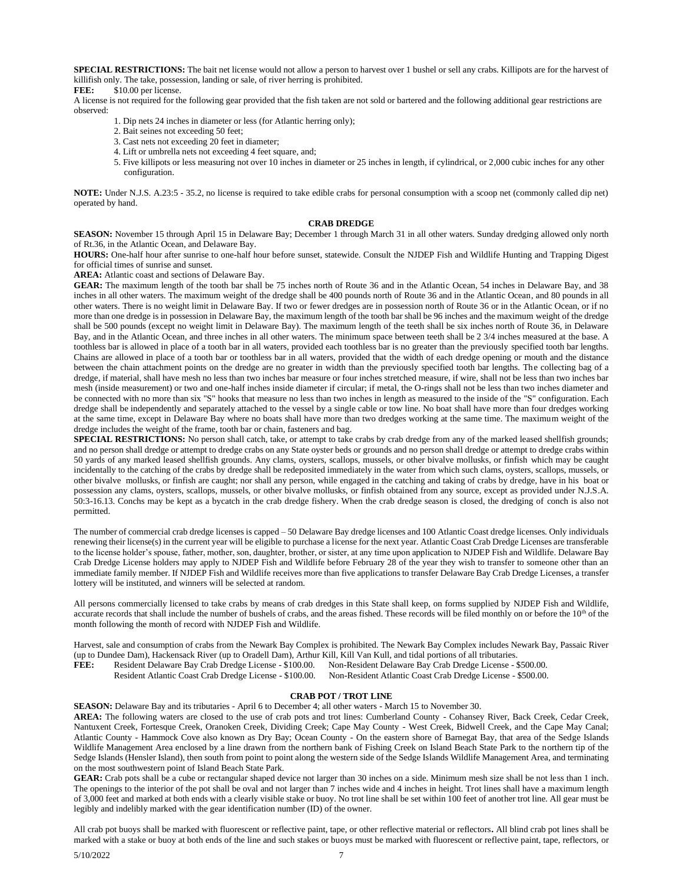**SPECIAL RESTRICTIONS:** The bait net license would not allow a person to harvest over 1 bushel or sell any crabs. Killipots are for the harvest of killifish only. The take, possession, landing or sale, of river herring is prohibited.<br> **FER:** \$10.00 per license

\$10.00 per license.

A license is not required for the following gear provided that the fish taken are not sold or bartered and the following additional gear restrictions are observed:

1. Dip nets 24 inches in diameter or less (for Atlantic herring only);

- 2. Bait seines not exceeding 50 feet;
- 3. Cast nets not exceeding 20 feet in diameter;
- 4. Lift or umbrella nets not exceeding 4 feet square, and;
- 5. Five killipots or less measuring not over 10 inches in diameter or 25 inches in length, if cylindrical, or 2,000 cubic inches for any other configuration.

**NOTE:** Under N.J.S. A.23:5 - 35.2, no license is required to take edible crabs for personal consumption with a scoop net (commonly called dip net) operated by hand.

#### **CRAB DREDGE**

**SEASON:** November 15 through April 15 in Delaware Bay; December 1 through March 31 in all other waters. Sunday dredging allowed only north of Rt.36, in the Atlantic Ocean, and Delaware Bay.

**HOURS:** One-half hour after sunrise to one-half hour before sunset, statewide. Consult the NJDEP Fish and Wildlife Hunting and Trapping Digest for official times of sunrise and sunset.

**AREA:** Atlantic coast and sections of Delaware Bay.

**GEAR:** The maximum length of the tooth bar shall be 75 inches north of Route 36 and in the Atlantic Ocean, 54 inches in Delaware Bay, and 38 inches in all other waters. The maximum weight of the dredge shall be 400 pounds north of Route 36 and in the Atlantic Ocean, and 80 pounds in all other waters. There is no weight limit in Delaware Bay. If two or fewer dredges are in possession north of Route 36 or in the Atlantic Ocean, or if no more than one dredge is in possession in Delaware Bay, the maximum length of the tooth bar shall be 96 inches and the maximum weight of the dredge shall be 500 pounds (except no weight limit in Delaware Bay). The maximum length of the teeth shall be six inches north of Route 36, in Delaware Bay, and in the Atlantic Ocean, and three inches in all other waters. The minimum space between teeth shall be 2 3/4 inches measured at the base. A toothless bar is allowed in place of a tooth bar in all waters, provided each toothless bar is no greater than the previously specified tooth bar lengths. Chains are allowed in place of a tooth bar or toothless bar in all waters, provided that the width of each dredge opening or mouth and the distance between the chain attachment points on the dredge are no greater in width than the previously specified tooth bar lengths. The collecting bag of a dredge, if material, shall have mesh no less than two inches bar measure or four inches stretched measure, if wire, shall not be less than two inches bar mesh (inside measurement) or two and one-half inches inside diameter if circular; if metal, the O-rings shall not be less than two inches diameter and be connected with no more than six "S" hooks that measure no less than two inches in length as measured to the inside of the "S" configuration. Each dredge shall be independently and separately attached to the vessel by a single cable or tow line. No boat shall have more than four dredges working at the same time, except in Delaware Bay where no boats shall have more than two dredges working at the same time. The maximum weight of the dredge includes the weight of the frame, tooth bar or chain, fasteners and bag.

**SPECIAL RESTRICTIONS:** No person shall catch, take, or attempt to take crabs by crab dredge from any of the marked leased shellfish grounds; and no person shall dredge or attempt to dredge crabs on any State oyster beds or grounds and no person shall dredge or attempt to dredge crabs within 50 yards of any marked leased shellfish grounds. Any clams, oysters, scallops, mussels, or other bivalve mollusks, or finfish which may be caught incidentally to the catching of the crabs by dredge shall be redeposited immediately in the water from which such clams, oysters, scallops, mussels, or other bivalve mollusks, or finfish are caught; nor shall any person, while engaged in the catching and taking of crabs by dredge, have in his boat or possession any clams, oysters, scallops, mussels, or other bivalve mollusks, or finfish obtained from any source, except as provided under N.J.S.A. 50:3-16.13. Conchs may be kept as a bycatch in the crab dredge fishery. When the crab dredge season is closed, the dredging of conch is also not permitted.

The number of commercial crab dredge licenses is capped – 50 Delaware Bay dredge licenses and 100 Atlantic Coast dredge licenses. Only individuals renewing their license(s) in the current year will be eligible to purchase a license for the next year. Atlantic Coast Crab Dredge Licenses are transferable to the license holder's spouse, father, mother, son, daughter, brother, or sister, at any time upon application to NJDEP Fish and Wildlife. Delaware Bay Crab Dredge License holders may apply to NJDEP Fish and Wildlife before February 28 of the year they wish to transfer to someone other than an immediate family member. If NJDEP Fish and Wildlife receives more than five applications to transfer Delaware Bay Crab Dredge Licenses, a transfer lottery will be instituted, and winners will be selected at random.

All persons commercially licensed to take crabs by means of crab dredges in this State shall keep, on forms supplied by NJDEP Fish and Wildlife, accurate records that shall include the number of bushels of crabs, and the areas fished. These records will be filed monthly on or before the 10<sup>th</sup> of the month following the month of record with NJDEP Fish and Wildlife.

Harvest, sale and consumption of crabs from the Newark Bay Complex is prohibited. The Newark Bay Complex includes Newark Bay, Passaic River (up to Dundee Dam), Hackensack River (up to Oradell Dam), Arthur Kill, Kill Van Kull, and tidal portions of all tributaries.

**FEE:** Resident Delaware Bay Crab Dredge License - \$100.00. Non-Resident Delaware Bay Crab Dredge License - \$500.00.

Resident Atlantic Coast Crab Dredge License - \$100.00. Non-Resident Atlantic Coast Crab Dredge License - \$500.00.

#### **CRAB POT / TROT LINE**

**SEASON:** Delaware Bay and its tributaries - April 6 to December 4; all other waters - March 15 to November 30.

**AREA:** The following waters are closed to the use of crab pots and trot lines: Cumberland County - Cohansey River, Back Creek, Cedar Creek, Nantuxent Creek, Fortesque Creek, Oranoken Creek, Dividing Creek; Cape May County - West Creek, Bidwell Creek, and the Cape May Canal; Atlantic County - Hammock Cove also known as Dry Bay; Ocean County - On the eastern shore of Barnegat Bay, that area of the Sedge Islands Wildlife Management Area enclosed by a line drawn from the northern bank of Fishing Creek on Island Beach State Park to the northern tip of the Sedge Islands (Hensler Island), then south from point to point along the western side of the Sedge Islands Wildlife Management Area, and terminating on the most southwestern point of Island Beach State Park.

**GEAR:** Crab pots shall be a cube or rectangular shaped device not larger than 30 inches on a side. Minimum mesh size shall be not less than 1 inch. The openings to the interior of the pot shall be oval and not larger than 7 inches wide and 4 inches in height. Trot lines shall have a maximum length of 3,000 feet and marked at both ends with a clearly visible stake or buoy. No trot line shall be set within 100 feet of another trot line. All gear must be legibly and indelibly marked with the gear identification number (ID) of the owner.

All crab pot buoys shall be marked with fluorescent or reflective paint, tape, or other reflective material or reflectors**.** All blind crab pot lines shall be marked with a stake or buoy at both ends of the line and such stakes or buoys must be marked with fluorescent or reflective paint, tape, reflectors, or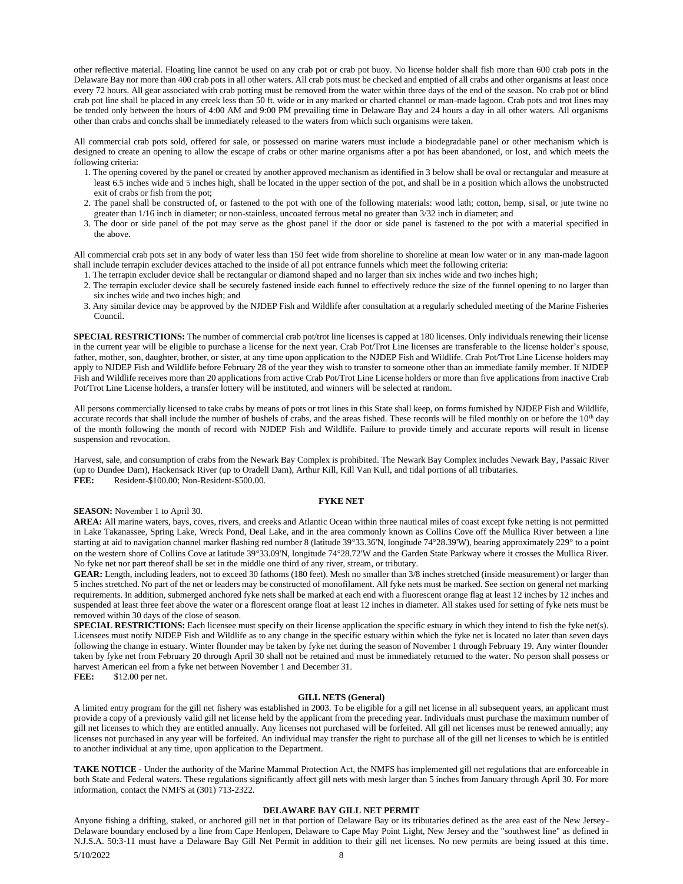other reflective material. Floating line cannot be used on any crab pot or crab pot buoy. No license holder shall fish more than 600 crab pots in the Delaware Bay nor more than 400 crab pots in all other waters. All crab pots must be checked and emptied of all crabs and other organisms at least once every 72 hours. All gear associated with crab potting must be removed from the water within three days of the end of the season. No crab pot or blind crab pot line shall be placed in any creek less than 50 ft. wide or in any marked or charted channel or man-made lagoon. Crab pots and trot lines may be tended only between the hours of 4:00 AM and 9:00 PM prevailing time in Delaware Bay and 24 hours a day in all other waters. All organisms other than crabs and conchs shall be immediately released to the waters from which such organisms were taken.

All commercial crab pots sold, offered for sale, or possessed on marine waters must include a biodegradable panel or other mechanism which is designed to create an opening to allow the escape of crabs or other marine organisms after a pot has been abandoned, or lost, and which meets the following criteria:

- 1. The opening covered by the panel or created by another approved mechanism as identified in 3 below shall be oval or rectangular and measure at least 6.5 inches wide and 5 inches high, shall be located in the upper section of the pot, and shall be in a position which allows the unobstructed exit of crabs or fish from the pot;
- 2. The panel shall be constructed of, or fastened to the pot with one of the following materials: wood lath; cotton, hemp, sisal, or jute twine no greater than 1/16 inch in diameter; or non-stainless, uncoated ferrous metal no greater than 3/32 inch in diameter; and
- 3. The door or side panel of the pot may serve as the ghost panel if the door or side panel is fastened to the pot with a material specified in the above.

All commercial crab pots set in any body of water less than 150 feet wide from shoreline to shoreline at mean low water or in any man-made lagoon shall include terrapin excluder devices attached to the inside of all pot entrance funnels which meet the following criteria:

- 1. The terrapin excluder device shall be rectangular or diamond shaped and no larger than six inches wide and two inches high;
- 2. The terrapin excluder device shall be securely fastened inside each funnel to effectively reduce the size of the funnel opening to no larger than six inches wide and two inches high; and
- 3. Any similar device may be approved by the NJDEP Fish and Wildlife after consultation at a regularly scheduled meeting of the Marine Fisheries Council.

**SPECIAL RESTRICTIONS:** The number of commercial crab pot/trot line licenses is capped at 180 licenses. Only individuals renewing their license in the current year will be eligible to purchase a license for the next year. Crab Pot/Trot Line licenses are transferable to the license holder's spouse, father, mother, son, daughter, brother, or sister, at any time upon application to the NJDEP Fish and Wildlife. Crab Pot/Trot Line License holders may apply to NJDEP Fish and Wildlife before February 28 of the year they wish to transfer to someone other than an immediate family member. If NJDEP Fish and Wildlife receives more than 20 applications from active Crab Pot/Trot Line License holders or more than five applications from inactive Crab Pot/Trot Line License holders, a transfer lottery will be instituted, and winners will be selected at random.

All persons commercially licensed to take crabs by means of pots or trot lines in this State shall keep, on forms furnished by NJDEP Fish and Wildlife, accurate records that shall include the number of bushels of crabs, and the areas fished. These records will be filed monthly on or before the 10<sup>th</sup> day of the month following the month of record with NJDEP Fish and Wildlife. Failure to provide timely and accurate reports will result in license suspension and revocation.

Harvest, sale, and consumption of crabs from the Newark Bay Complex is prohibited. The Newark Bay Complex includes Newark Bay, Passaic River (up to Dundee Dam), Hackensack River (up to Oradell Dam), Arthur Kill, Kill Van Kull, and tidal portions of all tributaries. **FEE:** Resident-\$100.00; Non-Resident-\$500.00.

#### **FYKE NET**

**SEASON:** November 1 to April 30.

**AREA:** All marine waters, bays, coves, rivers, and creeks and Atlantic Ocean within three nautical miles of coast except fyke netting is not permitted in Lake Takanassee, Spring Lake, Wreck Pond, Deal Lake, and in the area commonly known as Collins Cove off the Mullica River between a line starting at aid to navigation channel marker flashing red number 8 (latitude 39°33.36'N, longitude 74°28.39'W), bearing approximately 229° to a point on the western shore of Collins Cove at latitude 39°33.09'N, longitude 74°28.72'W and the Garden State Parkway where it crosses the Mullica River. No fyke net nor part thereof shall be set in the middle one third of any river, stream, or tributary.

**GEAR:** Length, including leaders, not to exceed 30 fathoms (180 feet). Mesh no smaller than 3/8 inches stretched (inside measurement) or larger than 5 inches stretched. No part of the net or leaders may be constructed of monofilament. All fyke nets must be marked. See section on general net marking requirements. In addition, submerged anchored fyke nets shall be marked at each end with a fluorescent orange flag at least 12 inches by 12 inches and suspended at least three feet above the water or a florescent orange float at least 12 inches in diameter. All stakes used for setting of fyke nets must be removed within 30 days of the close of season.

**SPECIAL RESTRICTIONS:** Each licensee must specify on their license application the specific estuary in which they intend to fish the fyke net(s). Licensees must notify NJDEP Fish and Wildlife as to any change in the specific estuary within which the fyke net is located no later than seven days following the change in estuary. Winter flounder may be taken by fyke net during the season of November 1 through February 19. Any winter flounder taken by fyke net from February 20 through April 30 shall not be retained and must be immediately returned to the water. No person shall possess or harvest American eel from a fyke net between November 1 and December 31.

## **FEE:** \$12.00 per net.

#### **GILL NETS (General)**

A limited entry program for the gill net fishery was established in 2003. To be eligible for a gill net license in all subsequent years, an applicant must provide a copy of a previously valid gill net license held by the applicant from the preceding year. Individuals must purchase the maximum number of gill net licenses to which they are entitled annually. Any licenses not purchased will be forfeited. All gill net licenses must be renewed annually; any licenses not purchased in any year will be forfeited. An individual may transfer the right to purchase all of the gill net licenses to which he is entitled to another individual at any time, upon application to the Department.

**TAKE NOTICE -** Under the authority of the Marine Mammal Protection Act, the NMFS has implemented gill net regulations that are enforceable in both State and Federal waters. These regulations significantly affect gill nets with mesh larger than 5 inches from January through April 30. For more information, contact the NMFS at (301) 713-2322.

#### **DELAWARE BAY GILL NET PERMIT**

Anyone fishing a drifting, staked, or anchored gill net in that portion of Delaware Bay or its tributaries defined as the area east of the New Jersey-Delaware boundary enclosed by a line from Cape Henlopen, Delaware to Cape May Point Light, New Jersey and the "southwest line" as defined in N.J.S.A. 50:3-11 must have a Delaware Bay Gill Net Permit in addition to their gill net licenses. No new permits are being issued at this time.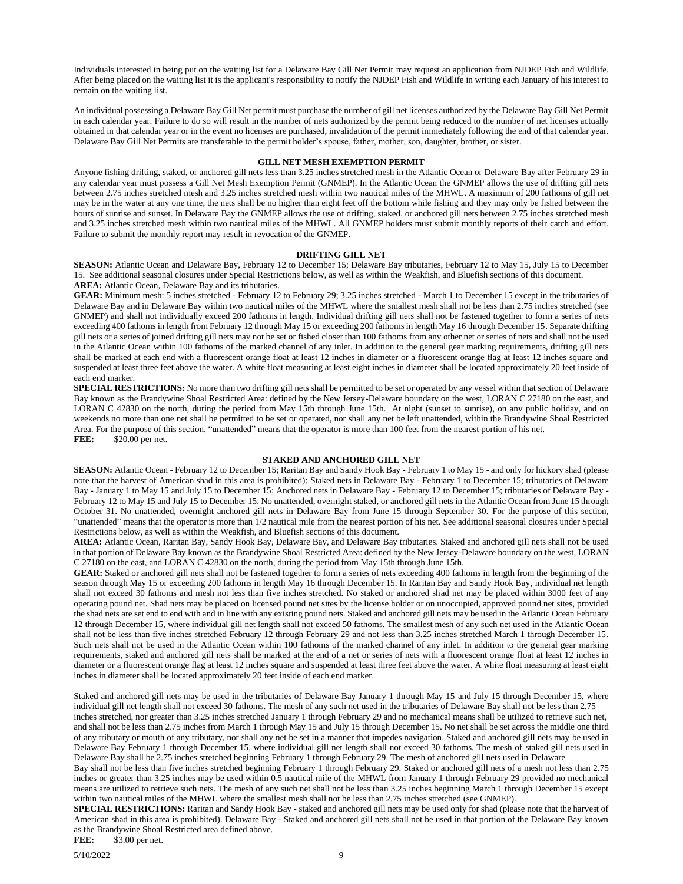Individuals interested in being put on the waiting list for a Delaware Bay Gill Net Permit may request an application from NJDEP Fish and Wildlife. After being placed on the waiting list it is the applicant's responsibility to notify the NJDEP Fish and Wildlife in writing each January of his interest to remain on the waiting list.

An individual possessing a Delaware Bay Gill Net permit must purchase the number of gill net licenses authorized by the Delaware Bay Gill Net Permit in each calendar year. Failure to do so will result in the number of nets authorized by the permit being reduced to the number of net licenses actually obtained in that calendar year or in the event no licenses are purchased, invalidation of the permit immediately following the end of that calendar year. Delaware Bay Gill Net Permits are transferable to the permit holder's spouse, father, mother, son, daughter, brother, or sister.

#### **GILL NET MESH EXEMPTION PERMIT**

Anyone fishing drifting, staked, or anchored gill nets less than 3.25 inches stretched mesh in the Atlantic Ocean or Delaware Bay after February 29 in any calendar year must possess a Gill Net Mesh Exemption Permit (GNMEP). In the Atlantic Ocean the GNMEP allows the use of drifting gill nets between 2.75 inches stretched mesh and 3.25 inches stretched mesh within two nautical miles of the MHWL. A maximum of 200 fathoms of gill net may be in the water at any one time, the nets shall be no higher than eight feet off the bottom while fishing and they may only be fished between the hours of sunrise and sunset. In Delaware Bay the GNMEP allows the use of drifting, staked, or anchored gill nets between 2.75 inches stretched mesh and 3.25 inches stretched mesh within two nautical miles of the MHWL. All GNMEP holders must submit monthly reports of their catch and effort. Failure to submit the monthly report may result in revocation of the GNMEP.

#### **DRIFTING GILL NET**

**SEASON:** Atlantic Ocean and Delaware Bay, February 12 to December 15; Delaware Bay tributaries, February 12 to May 15, July 15 to December 15. See additional seasonal closures under Special Restrictions below, as well as within the Weakfish, and Bluefish sections of this document. **AREA:** Atlantic Ocean, Delaware Bay and its tributaries.

**GEAR:** Minimum mesh: 5 inches stretched - February 12 to February 29; 3.25 inches stretched - March 1 to December 15 except in the tributaries of Delaware Bay and in Delaware Bay within two nautical miles of the MHWL where the smallest mesh shall not be less than 2.75 inches stretched (see GNMEP) and shall not individually exceed 200 fathoms in length. Individual drifting gill nets shall not be fastened together to form a series of nets exceeding 400 fathoms in length from February 12 through May 15 or exceeding 200 fathoms in length May 16 through December 15. Separate drifting gill nets or a series of joined drifting gill nets may not be set or fished closer than 100 fathoms from any other net or series of nets and shall not be used in the Atlantic Ocean within 100 fathoms of the marked channel of any inlet. In addition to the general gear marking requirements, drifting gill nets shall be marked at each end with a fluorescent orange float at least 12 inches in diameter or a fluorescent orange flag at least 12 inches square and suspended at least three feet above the water. A white float measuring at least eight inches in diameter shall be located approximately 20 feet inside of each end marker.

**SPECIAL RESTRICTIONS:** No more than two drifting gill nets shall be permitted to be set or operated by any vessel within that section of Delaware Bay known as the Brandywine Shoal Restricted Area: defined by the New Jersey-Delaware boundary on the west, LORAN C 27180 on the east, and LORAN C 42830 on the north, during the period from May 15th through June 15th. At night (sunset to sunrise), on any public holiday, and on weekends no more than one net shall be permitted to be set or operated, nor shall any net be left unattended, within the Brandywine Shoal Restricted Area. For the purpose of this section, "unattended" means that the operator is more than 100 feet from the nearest portion of his net. **FEE:** \$20.00 per net.

#### **STAKED AND ANCHORED GILL NET**

**SEASON:** Atlantic Ocean - February 12 to December 15; Raritan Bay and Sandy Hook Bay - February 1 to May 15 - and only for hickory shad (please note that the harvest of American shad in this area is prohibited); Staked nets in Delaware Bay - February 1 to December 15; tributaries of Delaware Bay - January 1 to May 15 and July 15 to December 15; Anchored nets in Delaware Bay - February 12 to December 15; tributaries of Delaware Bay - February 12 to May 15 and July 15 to December 15. No unattended, overnight staked, or anchored gill nets in the Atlantic Ocean from June 15 through October 31. No unattended, overnight anchored gill nets in Delaware Bay from June 15 through September 30. For the purpose of this section, "unattended" means that the operator is more than 1/2 nautical mile from the nearest portion of his net. See additional seasonal closures under Special Restrictions below, as well as within the Weakfish, and Bluefish sections of this document.

**AREA:** Atlantic Ocean, Raritan Bay, Sandy Hook Bay, Delaware Bay, and Delaware Bay tributaries. Staked and anchored gill nets shall not be used in that portion of Delaware Bay known as the Brandywine Shoal Restricted Area: defined by the New Jersey-Delaware boundary on the west, LORAN C 27180 on the east, and LORAN C 42830 on the north, during the period from May 15th through June 15th.

GEAR: Staked or anchored gill nets shall not be fastened together to form a series of nets exceeding 400 fathoms in length from the beginning of the season through May 15 or exceeding 200 fathoms in length May 16 through December 15. In Raritan Bay and Sandy Hook Bay, individual net length shall not exceed 30 fathoms and mesh not less than five inches stretched. No staked or anchored shad net may be placed within 3000 feet of any operating pound net. Shad nets may be placed on licensed pound net sites by the license holder or on unoccupied, approved pound net sites, provided the shad nets are set end to end with and in line with any existing pound nets. Staked and anchored gill nets may be used in the Atlantic Ocean February 12 through December 15, where individual gill net length shall not exceed 50 fathoms. The smallest mesh of any such net used in the Atlantic Ocean shall not be less than five inches stretched February 12 through February 29 and not less than 3.25 inches stretched March 1 through December 15. Such nets shall not be used in the Atlantic Ocean within 100 fathoms of the marked channel of any inlet. In addition to the general gear marking requirements, staked and anchored gill nets shall be marked at the end of a net or series of nets with a fluorescent orange float at least 12 inches in diameter or a fluorescent orange flag at least 12 inches square and suspended at least three feet above the water. A white float measuring at least eight inches in diameter shall be located approximately 20 feet inside of each end marker.

Staked and anchored gill nets may be used in the tributaries of Delaware Bay January 1 through May 15 and July 15 through December 15, where individual gill net length shall not exceed 30 fathoms. The mesh of any such net used in the tributaries of Delaware Bay shall not be less than 2.75

inches stretched, nor greater than 3.25 inches stretched January 1 through February 29 and no mechanical means shall be utilized to retrieve such net, and shall not be less than 2.75 inches from March 1 through May 15 and July 15 through December 15. No net shall be set across the middle one third of any tributary or mouth of any tributary, nor shall any net be set in a manner that impedes navigation. Staked and anchored gill nets may be used in Delaware Bay February 1 through December 15, where individual gill net length shall not exceed 30 fathoms. The mesh of staked gill nets used in Delaware Bay shall be 2.75 inches stretched beginning February 1 through February 29. The mesh of anchored gill nets used in Delaware

Bay shall not be less than five inches stretched beginning February 1 through February 29. Staked or anchored gill nets of a mesh not less than 2.75 inches or greater than 3.25 inches may be used within 0.5 nautical mile of the MHWL from January 1 through February 29 provided no mechanical means are utilized to retrieve such nets. The mesh of any such net shall not be less than 3.25 inches beginning March 1 through December 15 except within two nautical miles of the MHWL where the smallest mesh shall not be less than 2.75 inches stretched (see GNMEP).

**SPECIAL RESTRICTIONS:** Raritan and Sandy Hook Bay - staked and anchored gill nets may be used only for shad (please note that the harvest of American shad in this area is prohibited). Delaware Bay - Staked and anchored gill nets shall not be used in that portion of the Delaware Bay known as the Brandywine Shoal Restricted area defined above.

**FEE:** \$3.00 per net.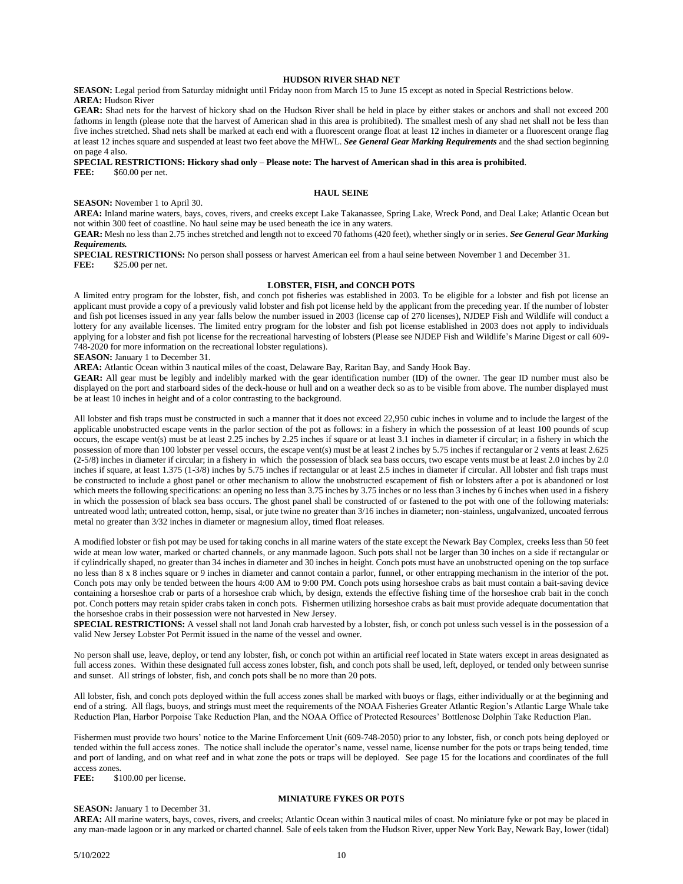#### **HUDSON RIVER SHAD NET**

**SEASON:** Legal period from Saturday midnight until Friday noon from March 15 to June 15 except as noted in Special Restrictions below. **AREA:** Hudson River

**GEAR:** Shad nets for the harvest of hickory shad on the Hudson River shall be held in place by either stakes or anchors and shall not exceed 200 fathoms in length (please note that the harvest of American shad in this area is prohibited). The smallest mesh of any shad net shall not be less than five inches stretched. Shad nets shall be marked at each end with a fluorescent orange float at least 12 inches in diameter or a fluorescent orange flag at least 12 inches square and suspended at least two feet above the MHWL. *See General Gear Marking Requirements* and the shad section beginning on page 4 also.

# **SPECIAL RESTRICTIONS: Hickory shad only – Please note: The harvest of American shad in this area is prohibited**.

**FEE:** \$60.00 per net.

## **HAUL SEINE**

**SEASON:** November 1 to April 30.

**AREA:** Inland marine waters, bays, coves, rivers, and creeks except Lake Takanassee, Spring Lake, Wreck Pond, and Deal Lake; Atlantic Ocean but not within 300 feet of coastline. No haul seine may be used beneath the ice in any waters.

**GEAR:** Mesh no less than 2.75 inches stretched and length not to exceed 70 fathoms (420 feet), whether singly or in series. *See General Gear Marking Requirements.* 

**SPECIAL RESTRICTIONS:** No person shall possess or harvest American eel from a haul seine between November 1 and December 31. **FEE:** \$25.00 per net.

#### **LOBSTER, FISH, and CONCH POTS**

A limited entry program for the lobster, fish, and conch pot fisheries was established in 2003. To be eligible for a lobster and fish pot license an applicant must provide a copy of a previously valid lobster and fish pot license held by the applicant from the preceding year. If the number of lobster and fish pot licenses issued in any year falls below the number issued in 2003 (license cap of 270 licenses), NJDEP Fish and Wildlife will conduct a lottery for any available licenses. The limited entry program for the lobster and fish pot license established in 2003 does not apply to individuals applying for a lobster and fish pot license for the recreational harvesting of lobsters (Please see NJDEP Fish and Wildlife's Marine Digest or call 609- 748-2020 for more information on the recreational lobster regulations).

#### **SEASON:** January 1 to December 31.

**AREA:** Atlantic Ocean within 3 nautical miles of the coast, Delaware Bay, Raritan Bay, and Sandy Hook Bay.

**GEAR:** All gear must be legibly and indelibly marked with the gear identification number (ID) of the owner. The gear ID number must also be displayed on the port and starboard sides of the deck-house or hull and on a weather deck so as to be visible from above. The number displayed must be at least 10 inches in height and of a color contrasting to the background.

All lobster and fish traps must be constructed in such a manner that it does not exceed 22,950 cubic inches in volume and to include the largest of the applicable unobstructed escape vents in the parlor section of the pot as follows: in a fishery in which the possession of at least 100 pounds of scup occurs, the escape vent(s) must be at least 2.25 inches by 2.25 inches if square or at least 3.1 inches in diameter if circular; in a fishery in which the possession of more than 100 lobster per vessel occurs, the escape vent(s) must be at least 2 inches by 5.75 inches if rectangular or 2 vents at least 2.625 (2-5/8) inches in diameter if circular; in a fishery in which the possession of black sea bass occurs, two escape vents must be at least 2.0 inches by 2.0 inches if square, at least 1.375 (1-3/8) inches by 5.75 inches if rectangular or at least 2.5 inches in diameter if circular. All lobster and fish traps must be constructed to include a ghost panel or other mechanism to allow the unobstructed escapement of fish or lobsters after a pot is abandoned or lost which meets the following specifications: an opening no less than 3.75 inches by 3.75 inches or no less than 3 inches by 6 inches when used in a fishery in which the possession of black sea bass occurs. The ghost panel shall be constructed of or fastened to the pot with one of the following materials: untreated wood lath; untreated cotton, hemp, sisal, or jute twine no greater than 3/16 inches in diameter; non-stainless, ungalvanized, uncoated ferrous metal no greater than 3/32 inches in diameter or magnesium alloy, timed float releases.

A modified lobster or fish pot may be used for taking conchs in all marine waters of the state except the Newark Bay Complex, creeks less than 50 feet wide at mean low water, marked or charted channels, or any manmade lagoon. Such pots shall not be larger than 30 inches on a side if rectangular or if cylindrically shaped, no greater than 34 inches in diameter and 30 inches in height. Conch pots must have an unobstructed opening on the top surface no less than 8 x 8 inches square or 9 inches in diameter and cannot contain a parlor, funnel, or other entrapping mechanism in the interior of the pot. Conch pots may only be tended between the hours 4:00 AM to 9:00 PM. Conch pots using horseshoe crabs as bait must contain a bait-saving device containing a horseshoe crab or parts of a horseshoe crab which, by design, extends the effective fishing time of the horseshoe crab bait in the conch pot. Conch potters may retain spider crabs taken in conch pots. Fishermen utilizing horseshoe crabs as bait must provide adequate documentation that the horseshoe crabs in their possession were not harvested in New Jersey.

**SPECIAL RESTRICTIONS:** A vessel shall not land Jonah crab harvested by a lobster, fish, or conch pot unless such vessel is in the possession of a valid New Jersey Lobster Pot Permit issued in the name of the vessel and owner.

No person shall use, leave, deploy, or tend any lobster, fish, or conch pot within an artificial reef located in State waters except in areas designated as full access zones. Within these designated full access zones lobster, fish, and conch pots shall be used, left, deployed, or tended only between sunrise and sunset. All strings of lobster, fish, and conch pots shall be no more than 20 pots.

All lobster, fish, and conch pots deployed within the full access zones shall be marked with buoys or flags, either individually or at the beginning and end of a string. All flags, buoys, and strings must meet the requirements of the NOAA Fisheries Greater Atlantic Region's Atlantic Large Whale take Reduction Plan, Harbor Porpoise Take Reduction Plan, and the NOAA Office of Protected Resources' Bottlenose Dolphin Take Reduction Plan.

Fishermen must provide two hours' notice to the Marine Enforcement Unit (609-748-2050) prior to any lobster, fish, or conch pots being deployed or tended within the full access zones. The notice shall include the operator's name, vessel name, license number for the pots or traps being tended, time and port of landing, and on what reef and in what zone the pots or traps will be deployed. See page 15 for the locations and coordinates of the full access zones.<br>FEE: \$1

\$100.00 per license.

## **SEASON:** January 1 to December 31.

## **MINIATURE FYKES OR POTS**

**AREA:** All marine waters, bays, coves, rivers, and creeks; Atlantic Ocean within 3 nautical miles of coast. No miniature fyke or pot may be placed in any man-made lagoon or in any marked or charted channel. Sale of eels taken from the Hudson River, upper New York Bay, Newark Bay, lower (tidal)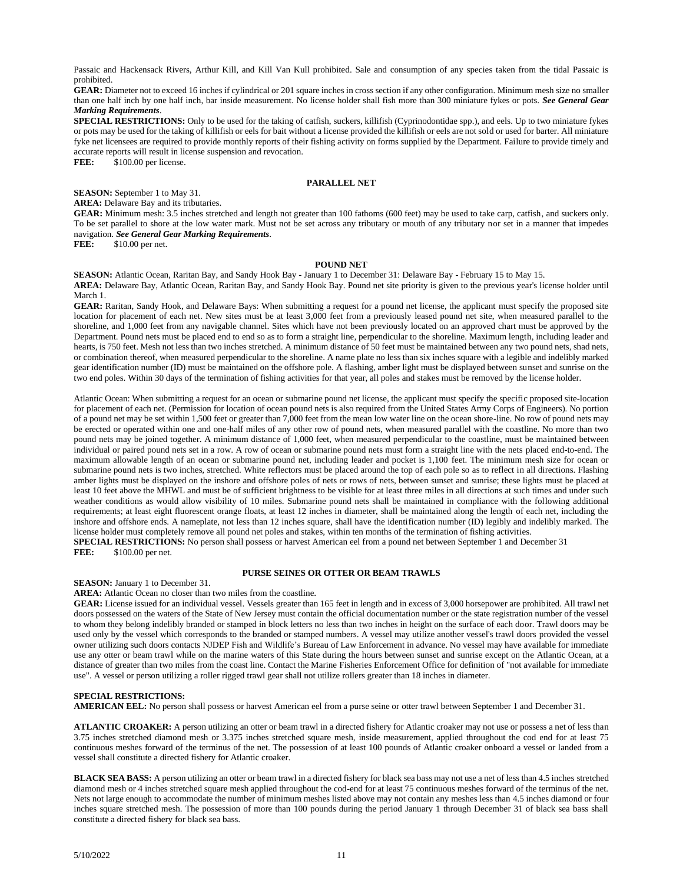Passaic and Hackensack Rivers, Arthur Kill, and Kill Van Kull prohibited. Sale and consumption of any species taken from the tidal Passaic is prohibited.

**GEAR:** Diameter not to exceed 16 inches if cylindrical or 201 square inches in cross section if any other configuration. Minimum mesh size no smaller than one half inch by one half inch, bar inside measurement. No license holder shall fish more than 300 miniature fykes or pots. *See General Gear Marking Requirements*.

**SPECIAL RESTRICTIONS:** Only to be used for the taking of catfish, suckers, killifish (Cyprinodontidae spp.), and eels. Up to two miniature fykes or pots may be used for the taking of killifish or eels for bait without a license provided the killifish or eels are not sold or used for barter. All miniature fyke net licensees are required to provide monthly reports of their fishing activity on forms supplied by the Department. Failure to provide timely and accurate reports will result in license suspension and revocation. FEE:  $$100.00$  per license.

**PARALLEL NET**

#### **SEASON:** September 1 to May 31.

**AREA:** Delaware Bay and its tributaries.

**GEAR:** Minimum mesh: 3.5 inches stretched and length not greater than 100 fathoms (600 feet) may be used to take carp, catfish, and suckers only. To be set parallel to shore at the low water mark. Must not be set across any tributary or mouth of any tributary nor set in a manner that impedes navigation. *See General Gear Marking Requirements*.

\$10.00 per net.

#### **POUND NET**

**SEASON:** Atlantic Ocean, Raritan Bay, and Sandy Hook Bay - January 1 to December 31: Delaware Bay - February 15 to May 15. **AREA:** Delaware Bay, Atlantic Ocean, Raritan Bay, and Sandy Hook Bay. Pound net site priority is given to the previous year's license holder until March 1.

**GEAR:** Raritan, Sandy Hook, and Delaware Bays: When submitting a request for a pound net license, the applicant must specify the proposed site location for placement of each net. New sites must be at least 3,000 feet from a previously leased pound net site, when measured parallel to the shoreline, and 1,000 feet from any navigable channel. Sites which have not been previously located on an approved chart must be approved by the Department. Pound nets must be placed end to end so as to form a straight line, perpendicular to the shoreline. Maximum length, including leader and hearts, is 750 feet. Mesh not less than two inches stretched. A minimum distance of 50 feet must be maintained between any two pound nets, shad nets, or combination thereof, when measured perpendicular to the shoreline. A name plate no less than six inches square with a legible and indelibly marked gear identification number (ID) must be maintained on the offshore pole. A flashing, amber light must be displayed between sunset and sunrise on the two end poles. Within 30 days of the termination of fishing activities for that year, all poles and stakes must be removed by the license holder.

Atlantic Ocean: When submitting a request for an ocean or submarine pound net license, the applicant must specify the specific proposed site-location for placement of each net. (Permission for location of ocean pound nets is also required from the United States Army Corps of Engineers). No portion of a pound net may be set within 1,500 feet or greater than 7,000 feet from the mean low water line on the ocean shore-line. No row of pound nets may be erected or operated within one and one-half miles of any other row of pound nets, when measured parallel with the coastline. No more than two pound nets may be joined together. A minimum distance of 1,000 feet, when measured perpendicular to the coastline, must be maintained between individual or paired pound nets set in a row. A row of ocean or submarine pound nets must form a straight line with the nets placed end-to-end. The maximum allowable length of an ocean or submarine pound net, including leader and pocket is 1,100 feet. The minimum mesh size for ocean or submarine pound nets is two inches, stretched. White reflectors must be placed around the top of each pole so as to reflect in all directions. Flashing amber lights must be displayed on the inshore and offshore poles of nets or rows of nets, between sunset and sunrise; these lights must be placed at least 10 feet above the MHWL and must be of sufficient brightness to be visible for at least three miles in all directions at such times and under such weather conditions as would allow visibility of 10 miles. Submarine pound nets shall be maintained in compliance with the following additional requirements; at least eight fluorescent orange floats, at least 12 inches in diameter, shall be maintained along the length of each net, including the inshore and offshore ends. A nameplate, not less than 12 inches square, shall have the identification number (ID) legibly and indelibly marked. The license holder must completely remove all pound net poles and stakes, within ten months of the termination of fishing activities. **SPECIAL RESTRICTIONS:** No person shall possess or harvest American eel from a pound net between September 1 and December 31 **FEE:** \$100.00 per net.

**PURSE SEINES OR OTTER OR BEAM TRAWLS**

#### **SEASON:** January 1 to December 31.

**AREA:** Atlantic Ocean no closer than two miles from the coastline.

**GEAR:** License issued for an individual vessel. Vessels greater than 165 feet in length and in excess of 3,000 horsepower are prohibited. All trawl net doors possessed on the waters of the State of New Jersey must contain the official documentation number or the state registration number of the vessel to whom they belong indelibly branded or stamped in block letters no less than two inches in height on the surface of each door. Trawl doors may be used only by the vessel which corresponds to the branded or stamped numbers. A vessel may utilize another vessel's trawl doors provided the vessel owner utilizing such doors contacts NJDEP Fish and Wildlife's Bureau of Law Enforcement in advance. No vessel may have available for immediate use any otter or beam trawl while on the marine waters of this State during the hours between sunset and sunrise except on the Atlantic Ocean, at a distance of greater than two miles from the coast line. Contact the Marine Fisheries Enforcement Office for definition of "not available for immediate use". A vessel or person utilizing a roller rigged trawl gear shall not utilize rollers greater than 18 inches in diameter.

#### **SPECIAL RESTRICTIONS:**

**AMERICAN EEL:** No person shall possess or harvest American eel from a purse seine or otter trawl between September 1 and December 31.

**ATLANTIC CROAKER:** A person utilizing an otter or beam trawl in a directed fishery for Atlantic croaker may not use or possess a net of less than 3.75 inches stretched diamond mesh or 3.375 inches stretched square mesh, inside measurement, applied throughout the cod end for at least 75 continuous meshes forward of the terminus of the net. The possession of at least 100 pounds of Atlantic croaker onboard a vessel or landed from a vessel shall constitute a directed fishery for Atlantic croaker.

**BLACK SEA BASS:** A person utilizing an otter or beam trawl in a directed fishery for black sea bass may not use a net of less than 4.5 inches stretched diamond mesh or 4 inches stretched square mesh applied throughout the cod-end for at least 75 continuous meshes forward of the terminus of the net. Nets not large enough to accommodate the number of minimum meshes listed above may not contain any meshes less than 4.5 inches diamond or four inches square stretched mesh. The possession of more than 100 pounds during the period January 1 through December 31 of black sea bass shall constitute a directed fishery for black sea bass.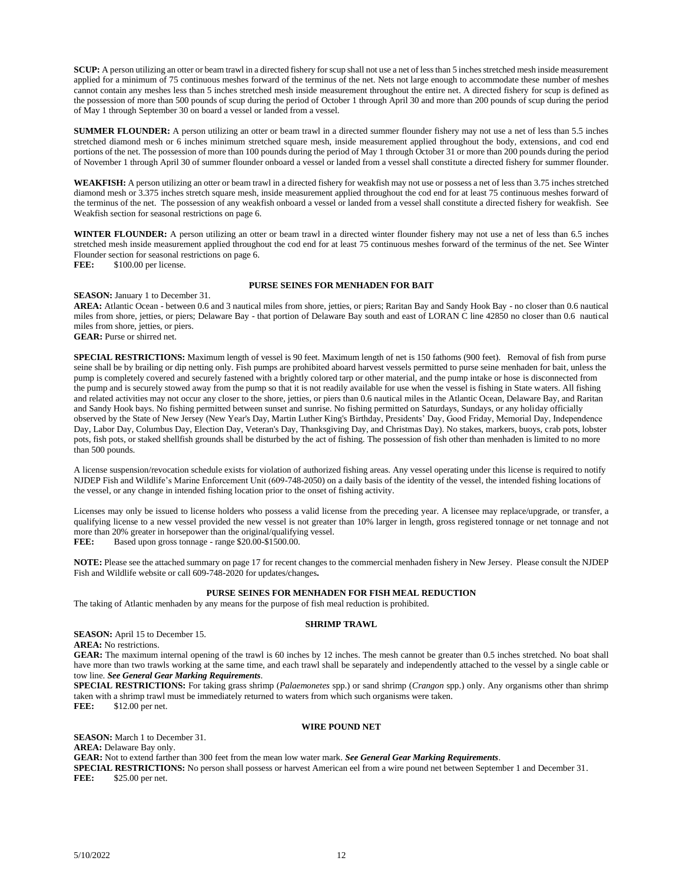**SCUP:** A person utilizing an otter or beam trawl in a directed fishery for scup shall not use a net of less than 5 inches stretched mesh inside measurement applied for a minimum of 75 continuous meshes forward of the terminus of the net. Nets not large enough to accommodate these number of meshes cannot contain any meshes less than 5 inches stretched mesh inside measurement throughout the entire net. A directed fishery for scup is defined as the possession of more than 500 pounds of scup during the period of October 1 through April 30 and more than 200 pounds of scup during the period of May 1 through September 30 on board a vessel or landed from a vessel.

**SUMMER FLOUNDER:** A person utilizing an otter or beam trawl in a directed summer flounder fishery may not use a net of less than 5.5 inches stretched diamond mesh or 6 inches minimum stretched square mesh, inside measurement applied throughout the body, extensions, and cod end portions of the net. The possession of more than 100 pounds during the period of May 1 through October 31 or more than 200 pounds during the period of November 1 through April 30 of summer flounder onboard a vessel or landed from a vessel shall constitute a directed fishery for summer flounder.

**WEAKFISH:** A person utilizing an otter or beam trawl in a directed fishery for weakfish may not use or possess a net of less than 3.75 inches stretched diamond mesh or 3.375 inches stretch square mesh, inside measurement applied throughout the cod end for at least 75 continuous meshes forward of the terminus of the net. The possession of any weakfish onboard a vessel or landed from a vessel shall constitute a directed fishery for weakfish. See Weakfish section for seasonal restrictions on page 6.

**WINTER FLOUNDER:** A person utilizing an otter or beam trawl in a directed winter flounder fishery may not use a net of less than 6.5 inches stretched mesh inside measurement applied throughout the cod end for at least 75 continuous meshes forward of the terminus of the net. See Winter Flounder section for seasonal restrictions on page 6.

FEE:  $$100.00$  per license.

#### **PURSE SEINES FOR MENHADEN FOR BAIT**

**SEASON:** January 1 to December 31.

**AREA:** Atlantic Ocean - between 0.6 and 3 nautical miles from shore, jetties, or piers; Raritan Bay and Sandy Hook Bay - no closer than 0.6 nautical miles from shore, jetties, or piers; Delaware Bay - that portion of Delaware Bay south and east of LORAN C line 42850 no closer than 0.6 nautical miles from shore, jetties, or piers.

**GEAR:** Purse or shirred net.

**SPECIAL RESTRICTIONS:** Maximum length of vessel is 90 feet. Maximum length of net is 150 fathoms (900 feet). Removal of fish from purse seine shall be by brailing or dip netting only. Fish pumps are prohibited aboard harvest vessels permitted to purse seine menhaden for bait, unless the pump is completely covered and securely fastened with a brightly colored tarp or other material, and the pump intake or hose is disconnected from the pump and is securely stowed away from the pump so that it is not readily available for use when the vessel is fishing in State waters. All fishing and related activities may not occur any closer to the shore, jetties, or piers than 0.6 nautical miles in the Atlantic Ocean, Delaware Bay, and Raritan and Sandy Hook bays. No fishing permitted between sunset and sunrise. No fishing permitted on Saturdays, Sundays, or any holiday officially observed by the State of New Jersey (New Year's Day, Martin Luther King's Birthday, Presidents' Day, Good Friday, Memorial Day, Independence Day, Labor Day, Columbus Day, Election Day, Veteran's Day, Thanksgiving Day, and Christmas Day). No stakes, markers, buoys, crab pots, lobster pots, fish pots, or staked shellfish grounds shall be disturbed by the act of fishing. The possession of fish other than menhaden is limited to no more than 500 pounds.

A license suspension/revocation schedule exists for violation of authorized fishing areas. Any vessel operating under this license is required to notify NJDEP Fish and Wildlife's Marine Enforcement Unit (609-748-2050) on a daily basis of the identity of the vessel, the intended fishing locations of the vessel, or any change in intended fishing location prior to the onset of fishing activity.

Licenses may only be issued to license holders who possess a valid license from the preceding year. A licensee may replace/upgrade, or transfer, a qualifying license to a new vessel provided the new vessel is not greater than 10% larger in length, gross registered tonnage or net tonnage and not more than 20% greater in horsepower than the original/qualifying vessel. FEE: Based upon gross tonnage - range \$20.00-\$1500.00.

**NOTE:** Please see the attached summary on page 17 for recent changes to the commercial menhaden fishery in New Jersey. Please consult the NJDEP Fish and Wildlife website or call 609-748-2020 for updates/changes**.**

## **PURSE SEINES FOR MENHADEN FOR FISH MEAL REDUCTION**

The taking of Atlantic menhaden by any means for the purpose of fish meal reduction is prohibited.

#### **SHRIMP TRAWL**

**SEASON:** April 15 to December 15.

**AREA:** No restrictions.

**GEAR:** The maximum internal opening of the trawl is 60 inches by 12 inches. The mesh cannot be greater than 0.5 inches stretched. No boat shall have more than two trawls working at the same time, and each trawl shall be separately and independently attached to the vessel by a single cable or tow line. *See General Gear Marking Requirements*.

**SPECIAL RESTRICTIONS:** For taking grass shrimp (*Palaemonetes* spp.) or sand shrimp (*Crangon* spp.) only. Any organisms other than shrimp taken with a shrimp trawl must be immediately returned to waters from which such organisms were taken. **FEE:** \$12.00 per net.

#### **WIRE POUND NET**

**SEASON:** March 1 to December 31.

**AREA:** Delaware Bay only.

**GEAR:** Not to extend farther than 300 feet from the mean low water mark. *See General Gear Marking Requirements*.

**SPECIAL RESTRICTIONS:** No person shall possess or harvest American eel from a wire pound net between September 1 and December 31.<br>**FEE:** \$25.00 per net. \$25.00 per net.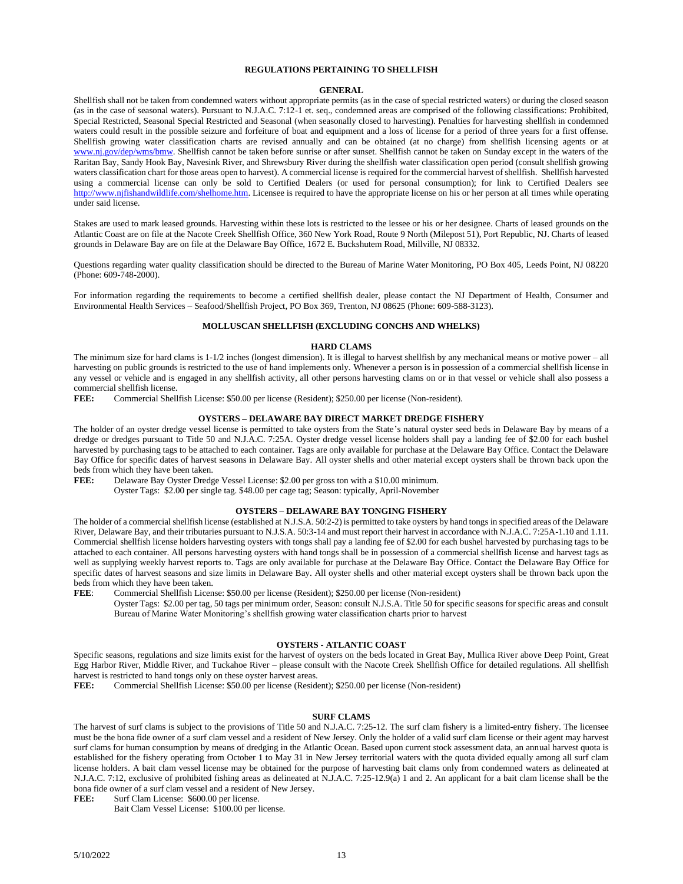## **REGULATIONS PERTAINING TO SHELLFISH**

#### **GENERAL**

Shellfish shall not be taken from condemned waters without appropriate permits (as in the case of special restricted waters) or during the closed season (as in the case of seasonal waters). Pursuant to N.J.A.C. 7:12-1 et. seq., condemned areas are comprised of the following classifications: Prohibited, Special Restricted, Seasonal Special Restricted and Seasonal (when seasonally closed to harvesting). Penalties for harvesting shellfish in condemned waters could result in the possible seizure and forfeiture of boat and equipment and a loss of license for a period of three years for a first offense. Shellfish growing water classification charts are revised annually and can be obtained (at no charge) from shellfish licensing agents or at [www.nj.gov/dep/wms/bmw.](http://www.nj.gov/dep/wms/bmw) Shellfish cannot be taken before sunrise or after sunset. Shellfish cannot be taken on Sunday except in the waters of the Raritan Bay, Sandy Hook Bay, Navesink River, and Shrewsbury River during the shellfish water classification open period (consult shellfish growing waters classification chart for those areas open to harvest). A commercial license is required for the commercial harvest of shellfish. Shellfish harvested using a commercial license can only be sold to Certified Dealers (or used for personal consumption); for link to Certified Dealers see [http://www.njfishandwildlife.com/shelhome.htm.](http://www.njfishandwildlife.com/shelhome.htm) Licensee is required to have the appropriate license on his or her person at all times while operating under said license.

Stakes are used to mark leased grounds. Harvesting within these lots is restricted to the lessee or his or her designee. Charts of leased grounds on the Atlantic Coast are on file at the Nacote Creek Shellfish Office, 360 New York Road, Route 9 North (Milepost 51), Port Republic, NJ. Charts of leased grounds in Delaware Bay are on file at the Delaware Bay Office, 1672 E. Buckshutem Road, Millville, NJ 08332.

Questions regarding water quality classification should be directed to the Bureau of Marine Water Monitoring, PO Box 405, Leeds Point, NJ 08220 (Phone: 609-748-2000).

For information regarding the requirements to become a certified shellfish dealer, please contact the NJ Department of Health, Consumer and Environmental Health Services – Seafood/Shellfish Project, PO Box 369, Trenton, NJ 08625 (Phone: 609-588-3123).

#### **MOLLUSCAN SHELLFISH (EXCLUDING CONCHS AND WHELKS)**

#### **HARD CLAMS**

The minimum size for hard clams is 1-1/2 inches (longest dimension). It is illegal to harvest shellfish by any mechanical means or motive power – all harvesting on public grounds is restricted to the use of hand implements only. Whenever a person is in possession of a commercial shellfish license in any vessel or vehicle and is engaged in any shellfish activity, all other persons harvesting clams on or in that vessel or vehicle shall also possess a commercial shellfish license.<br> **FEE:** Commercial Shell

Commercial Shellfish License: \$50.00 per license (Resident); \$250.00 per license (Non-resident).

#### **OYSTERS – DELAWARE BAY DIRECT MARKET DREDGE FISHERY**

The holder of an oyster dredge vessel license is permitted to take oysters from the State's natural oyster seed beds in Delaware Bay by means of a dredge or dredges pursuant to Title 50 and N.J.A.C. 7:25A. Oyster dredge vessel license holders shall pay a landing fee of \$2.00 for each bushel harvested by purchasing tags to be attached to each container. Tags are only available for purchase at the Delaware Bay Office. Contact the Delaware Bay Office for specific dates of harvest seasons in Delaware Bay. All oyster shells and other material except oysters shall be thrown back upon the beds from which they have been taken.

**FEE:** Delaware Bay Oyster Dredge Vessel License: \$2.00 per gross ton with a \$10.00 minimum.

Oyster Tags: \$2.00 per single tag. \$48.00 per cage tag; Season: typically, April-November

#### **OYSTERS – DELAWARE BAY TONGING FISHERY**

The holder of a commercial shellfish license (established at N.J.S.A. 50:2-2) is permitted to take oysters by hand tongs in specified areas of the Delaware River, Delaware Bay, and their tributaries pursuant to N.J.S.A. 50:3-14 and must report their harvest in accordance with N.J.A.C. 7:25A-1.10 and 1.11. Commercial shellfish license holders harvesting oysters with tongs shall pay a landing fee of \$2.00 for each bushel harvested by purchasing tags to be attached to each container. All persons harvesting oysters with hand tongs shall be in possession of a commercial shellfish license and harvest tags as well as supplying weekly harvest reports to. Tags are only available for purchase at the Delaware Bay Office. Contact the Delaware Bay Office for specific dates of harvest seasons and size limits in Delaware Bay. All oyster shells and other material except oysters shall be thrown back upon the beds from which they have been taken.<br> **FEE:** Commercial Shellfish Licen

Commercial Shellfish License: \$50.00 per license (Resident); \$250.00 per license (Non-resident) Oyster Tags: \$2.00 per tag, 50 tags per minimum order, Season: consult N.J.S.A. Title 50 for specific seasons for specific areas and consult Bureau of Marine Water Monitoring's shellfish growing water classification charts prior to harvest

#### **OYSTERS - ATLANTIC COAST**

Specific seasons, regulations and size limits exist for the harvest of oysters on the beds located in Great Bay, Mullica River above Deep Point, Great Egg Harbor River, Middle River, and Tuckahoe River – please consult with the Nacote Creek Shellfish Office for detailed regulations. All shellfish harvest is restricted to hand tongs only on these oyster harvest areas.

**FEE:** Commercial Shellfish License: \$50.00 per license (Resident); \$250.00 per license (Non-resident)

#### **SURF CLAMS**

The harvest of surf clams is subject to the provisions of Title 50 and N.J.A.C. 7:25-12. The surf clam fishery is a limited-entry fishery. The licensee must be the bona fide owner of a surf clam vessel and a resident of New Jersey. Only the holder of a valid surf clam license or their agent may harvest surf clams for human consumption by means of dredging in the Atlantic Ocean. Based upon current stock assessment data, an annual harvest quota is established for the fishery operating from October 1 to May 31 in New Jersey territorial waters with the quota divided equally among all surf clam license holders. A bait clam vessel license may be obtained for the purpose of harvesting bait clams only from condemned waters as delineated at N.J.A.C. 7:12, exclusive of prohibited fishing areas as delineated at N.J.A.C. 7:25-12.9(a) 1 and 2. An applicant for a bait clam license shall be the bona fide owner of a surf clam vessel and a resident of New Jersey.

FEE: Surf Clam License: \$600.00 per license.

Bait Clam Vessel License: \$100.00 per license.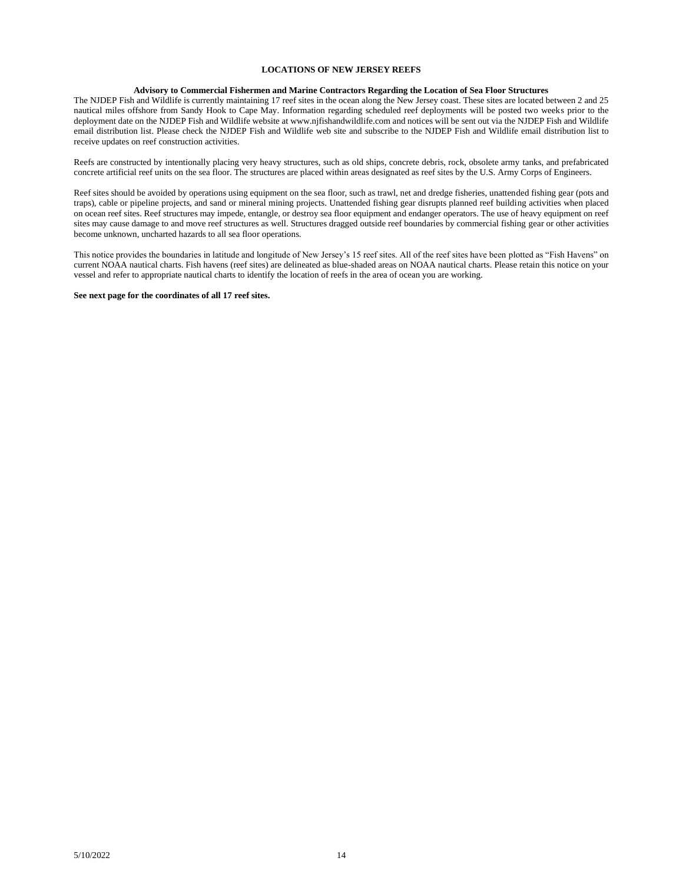### **LOCATIONS OF NEW JERSEY REEFS**

#### **Advisory to Commercial Fishermen and Marine Contractors Regarding the Location of Sea Floor Structures**

The NJDEP Fish and Wildlife is currently maintaining 17 reef sites in the ocean along the New Jersey coast. These sites are located between 2 and 25 nautical miles offshore from Sandy Hook to Cape May. Information regarding scheduled reef deployments will be posted two weeks prior to the deployment date on the NJDEP Fish and Wildlife website at www.njfishandwildlife.com and notices will be sent out via the NJDEP Fish and Wildlife email distribution list. Please check the NJDEP Fish and Wildlife web site and subscribe to the NJDEP Fish and Wildlife email distribution list to receive updates on reef construction activities.

Reefs are constructed by intentionally placing very heavy structures, such as old ships, concrete debris, rock, obsolete army tanks, and prefabricated concrete artificial reef units on the sea floor. The structures are placed within areas designated as reef sites by the U.S. Army Corps of Engineers.

Reef sites should be avoided by operations using equipment on the sea floor, such as trawl, net and dredge fisheries, unattended fishing gear (pots and traps), cable or pipeline projects, and sand or mineral mining projects. Unattended fishing gear disrupts planned reef building activities when placed on ocean reef sites. Reef structures may impede, entangle, or destroy sea floor equipment and endanger operators. The use of heavy equipment on reef sites may cause damage to and move reef structures as well. Structures dragged outside reef boundaries by commercial fishing gear or other activities become unknown, uncharted hazards to all sea floor operations.

This notice provides the boundaries in latitude and longitude of New Jersey's 15 reef sites. All of the reef sites have been plotted as "Fish Havens" on current NOAA nautical charts. Fish havens (reef sites) are delineated as blue-shaded areas on NOAA nautical charts. Please retain this notice on your vessel and refer to appropriate nautical charts to identify the location of reefs in the area of ocean you are working.

#### **See next page for the coordinates of all 17 reef sites.**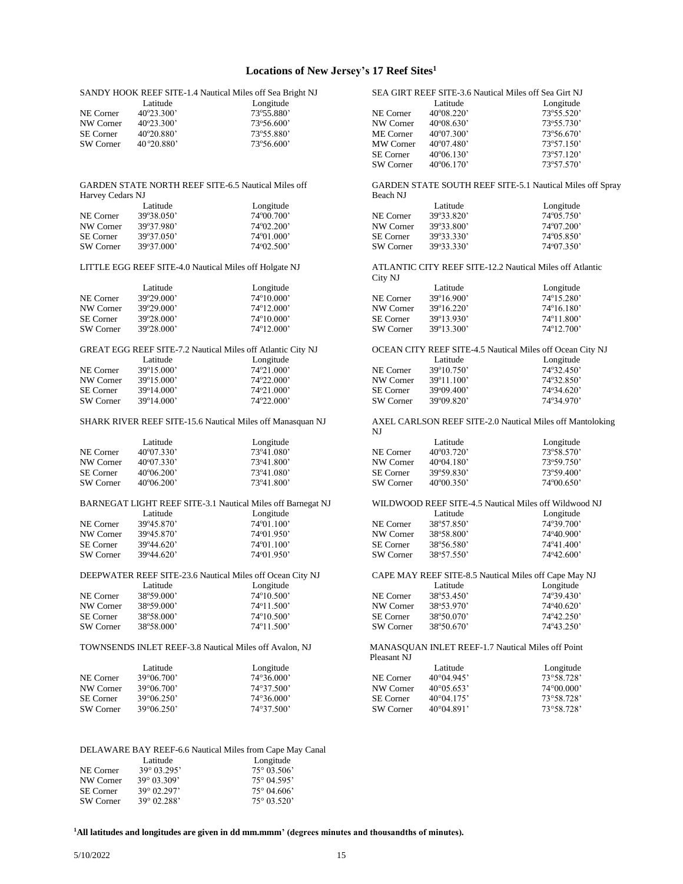## **Locations of New Jersey's 17 Reef Sites<sup>1</sup>**

|                  |                                                            | SANDY HOOK REEF SITE-1.4 Nautical Miles off Sea Bright NJ   |                  | SEA GIRT REEF SITE-3.6 Nautical Miles off Sea Girt NJ |                                                           |
|------------------|------------------------------------------------------------|-------------------------------------------------------------|------------------|-------------------------------------------------------|-----------------------------------------------------------|
|                  | Latitude                                                   | Longitude                                                   |                  | Latitude                                              | Longitude                                                 |
| NE Corner        | 40°23.300'                                                 | 73°55.880'                                                  | NE Corner        | $40^{\circ}08.220$                                    | 73°55.520'                                                |
| NW Corner        | 40°23.300'                                                 | 73°56.600'                                                  | NW Corner        | $40^{\circ}08.630'$                                   | 73°55.730'                                                |
| <b>SE</b> Corner | 40°20.880'                                                 | 73°55.880'                                                  | ME Corner        | 40°07.300'                                            | 73°56.670'                                                |
| SW Corner        | 40 ° 20.880'                                               | 73°56.600'                                                  | MW Corner        | 40°07.480'                                            | 73°57.150'                                                |
|                  |                                                            |                                                             | SE Corner        | $40^{\circ}06.130'$                                   | 73°57.120'                                                |
|                  |                                                            |                                                             | SW Corner        | $40^{\circ}06.170'$                                   | 73°57.570'                                                |
|                  |                                                            |                                                             |                  |                                                       |                                                           |
|                  | <b>GARDEN STATE NORTH REEF SITE-6.5 Nautical Miles off</b> |                                                             |                  |                                                       | GARDEN STATE SOUTH REEF SITE-5.1 Nautical Miles off Spray |
| Harvey Cedars NJ |                                                            |                                                             | Beach NJ         |                                                       |                                                           |
|                  | Latitude                                                   | Longitude                                                   |                  | Latitude                                              | Longitude                                                 |
| NE Corner        | 39°38.050'                                                 | 74°00.700'                                                  | NE Corner        | 39°33.820'                                            | 74°05.750'                                                |
|                  |                                                            |                                                             |                  |                                                       | 74°07.200'                                                |
| NW Corner        | 39°37.980'                                                 | 74°02.200'                                                  | NW Corner        | 39°33.800'                                            |                                                           |
| <b>SE</b> Corner | 39°37.050'                                                 | 74°01.000'                                                  | <b>SE</b> Corner | 39°33.330'                                            | $74^{\circ}05.850'$                                       |
| SW Corner        | 39°37.000'                                                 | 74°02.500'                                                  | SW Corner        | 39°33.330'                                            | 74°07.350'                                                |
|                  |                                                            |                                                             |                  |                                                       |                                                           |
|                  | LITTLE EGG REEF SITE-4.0 Nautical Miles off Holgate NJ     |                                                             |                  |                                                       | ATLANTIC CITY REEF SITE-12.2 Nautical Miles off Atlantic  |
|                  |                                                            |                                                             | City NJ          |                                                       |                                                           |
|                  | Latitude                                                   | Longitude                                                   |                  | Latitude                                              | Longitude                                                 |
| NE Corner        | 39°29.000'                                                 | 74°10.000'                                                  | NE Corner        | 39°16.900'                                            | 74°15.280'                                                |
| NW Corner        | 39°29.000'                                                 | 74°12.000'                                                  | NW Corner        | 39°16.220'                                            | $74^{\circ}16.180'$                                       |
|                  |                                                            |                                                             |                  |                                                       |                                                           |
| <b>SE</b> Corner | 39°28.000'                                                 | 74°10.000'                                                  | <b>SE</b> Corner | 39°13.930'                                            | 74°11.800'                                                |
| SW Corner        | 39°28.000'                                                 | 74°12.000'                                                  | SW Corner        | 39°13.300'                                            | 74°12.700'                                                |
|                  |                                                            |                                                             |                  |                                                       |                                                           |
|                  |                                                            | GREAT EGG REEF SITE-7.2 Nautical Miles off Atlantic City NJ |                  |                                                       | OCEAN CITY REEF SITE-4.5 Nautical Miles off Ocean City NJ |
|                  | Latitude                                                   | Longitude                                                   |                  | Latitude                                              | Longitude                                                 |
| NE Corner        | 39°15.000'                                                 | 74°21.000'                                                  | NE Corner        | 39°10.750'                                            | 74°32.450'                                                |
| NW Corner        | 39°15.000'                                                 | 74°22.000'                                                  | NW Corner        | 39°11.100'                                            | 74°32.850'                                                |
| <b>SE</b> Corner | 39°14.000'                                                 | 74°21.000'                                                  | SE Corner        | 39°09.400'                                            | 74°34.620'                                                |
| SW Corner        | 39°14.000'                                                 | 74°22.000'                                                  | SW Corner        | 39°09.820'                                            | 74°34.970'                                                |
|                  |                                                            |                                                             |                  |                                                       |                                                           |
|                  |                                                            | SHARK RIVER REEF SITE-15.6 Nautical Miles off Manasquan NJ  |                  |                                                       | AXEL CARLSON REEF SITE-2.0 Nautical Miles off Mantoloking |
|                  |                                                            |                                                             |                  |                                                       |                                                           |
|                  |                                                            |                                                             | NJ               |                                                       |                                                           |
|                  |                                                            |                                                             |                  |                                                       |                                                           |
|                  | Latitude                                                   | Longitude                                                   |                  | Latitude                                              | Longitude                                                 |
| NE Corner        | 40°07.330'                                                 | 73°41.080'                                                  | NE Corner        | 40°03.720'                                            | 73°58.570'                                                |
| NW Corner        | 40°07.330'                                                 | 73°41.800'                                                  | NW Corner        | $40^{\circ}04.180'$                                   | 73°59.750'                                                |
| <b>SE</b> Corner | $40^{\circ}06.200'$                                        | 73°41.080'                                                  | SE Corner        | 39°59.830'                                            | 73°59.400'                                                |
| SW Corner        | 40°06.200'                                                 | 73°41.800'                                                  | SW Corner        | 40°00.350'                                            | 74°00.650'                                                |
|                  |                                                            |                                                             |                  |                                                       |                                                           |
|                  |                                                            | BARNEGAT LIGHT REEF SITE-3.1 Nautical Miles off Barnegat NJ |                  |                                                       | WILDWOOD REEF SITE-4.5 Nautical Miles off Wildwood NJ     |
|                  | Latitude                                                   | Longitude                                                   |                  | Latitude                                              | Longitude                                                 |
| NE Corner        | 39°45.870'                                                 | 74°01.100'                                                  | NE Corner        | 38°57.850'                                            | 74°39.700'                                                |
| NW Corner        | 39°45.870'                                                 | 74°01.950'                                                  | NW Corner        | 38°58.800'                                            | 74°40.900'                                                |
|                  |                                                            |                                                             |                  |                                                       |                                                           |
| <b>SE</b> Corner | $39^{\circ}44.620'$                                        | $74^{\circ}01.100'$                                         | SE Corner        | 38°56.580'                                            | 74°41.400'                                                |
| SW Corner        | $39^{\circ}44.620'$                                        | 74°01.950'                                                  | SW Corner        | 38°57.550'                                            | 74°42.600'                                                |
|                  |                                                            |                                                             |                  |                                                       |                                                           |
|                  |                                                            | DEEPWATER REEF SITE-23.6 Nautical Miles off Ocean City NJ   |                  |                                                       | CAPE MAY REEF SITE-8.5 Nautical Miles off Cape May NJ     |
|                  | Latitude                                                   | Longitude                                                   |                  | Latitude                                              | Longitude                                                 |
| NE Corner        | 38°59.000'                                                 | 74°10.500'                                                  | NE Corner        | 38°53.450'                                            | 74°39.430'                                                |
| NW Corner        | 38°59.000'                                                 | 74°11.500'                                                  | NW Corner        | 38°53.970'                                            | 74°40.620'                                                |
| <b>SE</b> Corner | 38°58.000'                                                 | 74°10.500'                                                  | SE Corner        | 38°50.070'                                            | 74°42.250'                                                |
| SW Corner        | 38°58.000'                                                 | 74°11.500'                                                  | SW Corner        | 38°50.670'                                            | 74°43.250'                                                |
|                  |                                                            |                                                             |                  |                                                       |                                                           |
|                  | TOWNSENDS INLET REEF-3.8 Nautical Miles off Avalon, NJ     |                                                             |                  | MANASQUAN INLET REEF-1.7 Nautical Miles off Point     |                                                           |
|                  |                                                            |                                                             | Pleasant NJ      |                                                       |                                                           |
|                  | Latitude                                                   | Longitude                                                   |                  | Latitude                                              | Longitude                                                 |
| NE Corner        | 39°06.700'                                                 | 74°36.000'                                                  | NE Corner        | 40°04.945'                                            | 73°58.728'                                                |
|                  |                                                            |                                                             |                  |                                                       |                                                           |
| NW Corner        | 39°06.700'                                                 | 74°37.500'                                                  | NW Corner        | $40^{\circ}05.653'$                                   | 74°00.000'                                                |
| SE Corner        | 39°06.250'                                                 | 74°36.000'                                                  | SE Corner        | $40^{\circ}04.175'$                                   | 73°58.728'                                                |
| SW Corner        | 39°06.250'                                                 | 74°37.500'                                                  | SW Corner        | $40^{\circ}04.891'$                                   | 73°58.728'                                                |
|                  |                                                            |                                                             |                  |                                                       |                                                           |
|                  |                                                            |                                                             |                  |                                                       |                                                           |
|                  |                                                            | DELAWARE BAY REEF-6.6 Nautical Miles from Cape May Canal    |                  |                                                       |                                                           |

Latitude Longitude

|                  | танинс               | <b>L</b> UILLUUG     |
|------------------|----------------------|----------------------|
| NE Corner        | $39^{\circ}$ 03.295' | $75^{\circ}$ 03.506' |
| NW Corner        | $39^{\circ}$ 03.309' | $75^{\circ}$ 04.595' |
| <b>SE</b> Corner | $39^{\circ}$ 02.297' | $75^{\circ}$ 04.606' |
| SW Corner        | $39^{\circ}$ 02.288' | $75^{\circ}$ 03.520' |
|                  |                      |                      |

**1All latitudes and longitudes are given in dd mm.mmm' (degrees minutes and thousandths of minutes).**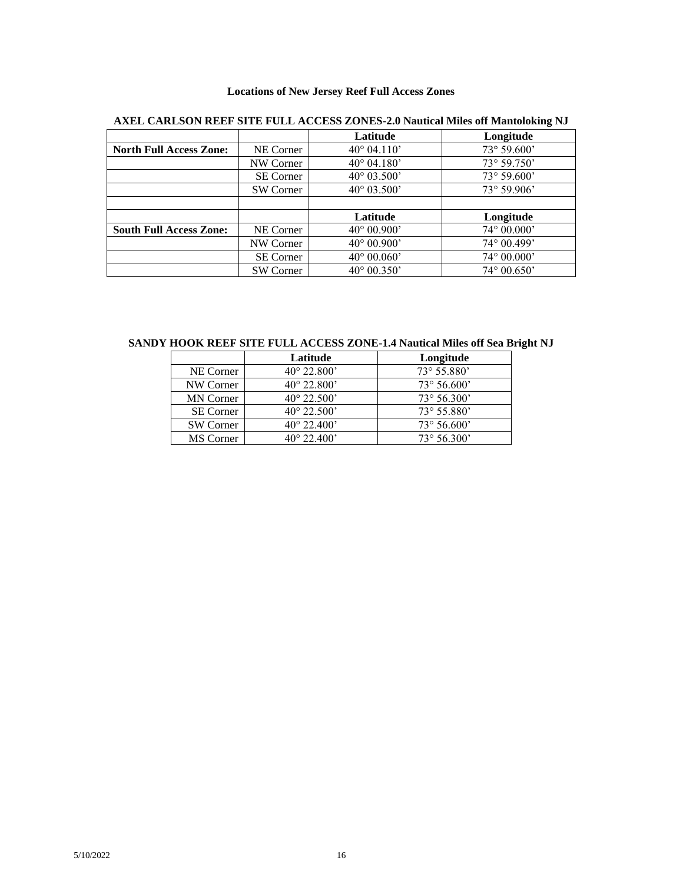## **Locations of New Jersey Reef Full Access Zones**

|                                |                  | Latitude             | Longitude            |
|--------------------------------|------------------|----------------------|----------------------|
| <b>North Full Access Zone:</b> | NE Corner        | $40^{\circ}$ 04.110' | $73^{\circ} 59.600'$ |
|                                | NW Corner        | $40^{\circ}$ 04.180' | $73^{\circ} 59.750'$ |
|                                | <b>SE Corner</b> | $40^{\circ}$ 03.500' | 73° 59.600'          |
|                                | <b>SW Corner</b> | $40^{\circ}$ 03.500' | $73^{\circ} 59.906'$ |
|                                |                  |                      |                      |
|                                |                  | Latitude             | Longitude            |
| <b>South Full Access Zone:</b> | NE Corner        | $40^{\circ} 00.900'$ | $74^{\circ} 00.000'$ |
|                                | NW Corner        | $40^{\circ} 00.900'$ | $74^{\circ} 00.499'$ |
|                                | <b>SE Corner</b> | $40^{\circ} 00.060'$ | $74^{\circ} 00.000'$ |
|                                | <b>SW</b> Corner | $40^{\circ}$ 00.350' | $74^{\circ} 00.650'$ |

# **AXEL CARLSON REEF SITE FULL ACCESS ZONES-2.0 Nautical Miles off Mantoloking NJ**

**SANDY HOOK REEF SITE FULL ACCESS ZONE-1.4 Nautical Miles off Sea Bright NJ**

|                  | Latitude             | Longitude            |
|------------------|----------------------|----------------------|
| NE Corner        | $40^{\circ}$ 22.800' | 73° 55.880'          |
| NW Corner        | $40^{\circ}$ 22.800' | $73^{\circ} 56.600'$ |
| <b>MN</b> Corner | $40^{\circ}$ 22.500' | $73^{\circ} 56.300'$ |
| <b>SE Corner</b> | $40^{\circ}$ 22.500' | $73^{\circ} 55.880'$ |
| SW Corner        | $40^{\circ}$ 22.400' | $73^{\circ} 56.600'$ |
| MS Corner        | $40^{\circ}$ 22.400' | $73^{\circ} 56.300'$ |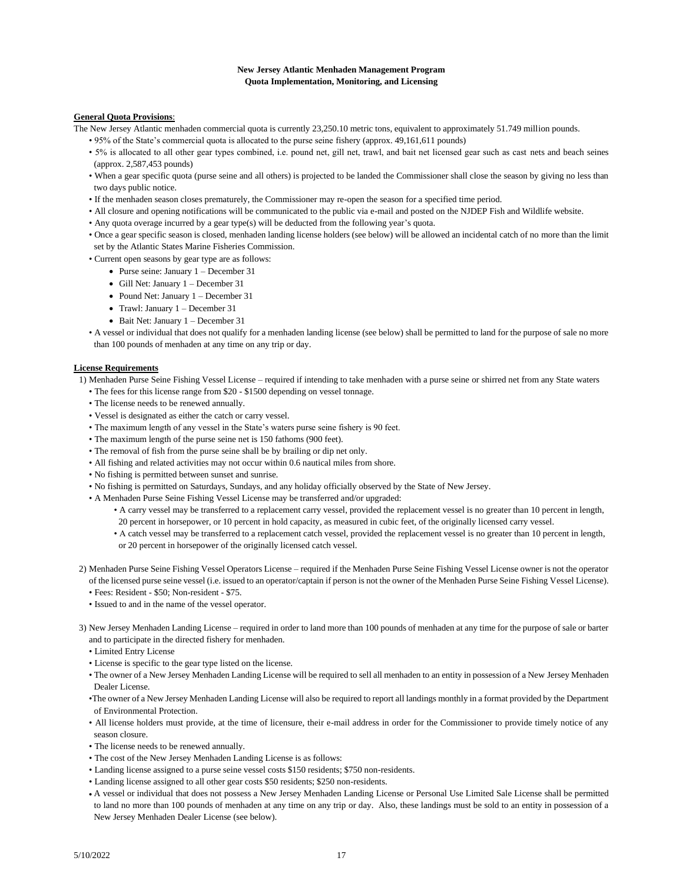### **New Jersey Atlantic Menhaden Management Program Quota Implementation, Monitoring, and Licensing**

## **General Quota Provisions**:

The New Jersey Atlantic menhaden commercial quota is currently 23,250.10 metric tons, equivalent to approximately 51.749 million pounds.

- 95% of the State's commercial quota is allocated to the purse seine fishery (approx. 49,161,611 pounds)
- 5% is allocated to all other gear types combined, i.e. pound net, gill net, trawl, and bait net licensed gear such as cast nets and beach seines (approx. 2,587,453 pounds)
- When a gear specific quota (purse seine and all others) is projected to be landed the Commissioner shall close the season by giving no less than two days public notice.
- If the menhaden season closes prematurely, the Commissioner may re-open the season for a specified time period.
- All closure and opening notifications will be communicated to the public via e-mail and posted on the NJDEP Fish and Wildlife website.
- Any quota overage incurred by a gear type(s) will be deducted from the following year's quota.
- Once a gear specific season is closed, menhaden landing license holders (see below) will be allowed an incidental catch of no more than the limit set by the Atlantic States Marine Fisheries Commission.
- Current open seasons by gear type are as follows:
	- Purse seine: January 1 December 31
	- Gill Net: January 1 December 31
	- Pound Net: January 1 December 31
	- Trawl: January 1 December 31
	- Bait Net: January 1 December 31
- A vessel or individual that does not qualify for a menhaden landing license (see below) shall be permitted to land for the purpose of sale no more than 100 pounds of menhaden at any time on any trip or day.

#### **License Requirements**

- 1) Menhaden Purse Seine Fishing Vessel License required if intending to take menhaden with a purse seine or shirred net from any State waters
	- The fees for this license range from \$20 \$1500 depending on vessel tonnage.
	- The license needs to be renewed annually.
	- Vessel is designated as either the catch or carry vessel.
	- The maximum length of any vessel in the State's waters purse seine fishery is 90 feet.
	- The maximum length of the purse seine net is 150 fathoms (900 feet).
	- The removal of fish from the purse seine shall be by brailing or dip net only.
	- All fishing and related activities may not occur within 0.6 nautical miles from shore.
	- No fishing is permitted between sunset and sunrise.
	- No fishing is permitted on Saturdays, Sundays, and any holiday officially observed by the State of New Jersey.
	- A Menhaden Purse Seine Fishing Vessel License may be transferred and/or upgraded:
		- A carry vessel may be transferred to a replacement carry vessel, provided the replacement vessel is no greater than 10 percent in length, 20 percent in horsepower, or 10 percent in hold capacity, as measured in cubic feet, of the originally licensed carry vessel.
		- A catch vessel may be transferred to a replacement catch vessel, provided the replacement vessel is no greater than 10 percent in length, or 20 percent in horsepower of the originally licensed catch vessel.
- 2) Menhaden Purse Seine Fishing Vessel Operators License required if the Menhaden Purse Seine Fishing Vessel License owner is not the operator of the licensed purse seine vessel (i.e. issued to an operator/captain if person is not the owner of the Menhaden Purse Seine Fishing Vessel License).
	- Fees: Resident \$50; Non-resident \$75.
	- Issued to and in the name of the vessel operator.
- 3) New Jersey Menhaden Landing License required in order to land more than 100 pounds of menhaden at any time for the purpose of sale or barter and to participate in the directed fishery for menhaden.
	- Limited Entry License
	- License is specific to the gear type listed on the license.
	- The owner of a New Jersey Menhaden Landing License will be required to sell all menhaden to an entity in possession of a New Jersey Menhaden Dealer License.
	- •The owner of a New Jersey Menhaden Landing License will also be required to report all landings monthly in a format provided by the Department of Environmental Protection.
	- All license holders must provide, at the time of licensure, their e-mail address in order for the Commissioner to provide timely notice of any season closure.
	- The license needs to be renewed annually.
	- The cost of the New Jersey Menhaden Landing License is as follows:
	- Landing license assigned to a purse seine vessel costs \$150 residents; \$750 non-residents.
	- Landing license assigned to all other gear costs \$50 residents; \$250 non-residents.
	- A vessel or individual that does not possess a New Jersey Menhaden Landing License or Personal Use Limited Sale License shall be permitted to land no more than 100 pounds of menhaden at any time on any trip or day. Also, these landings must be sold to an entity in possession of a New Jersey Menhaden Dealer License (see below).